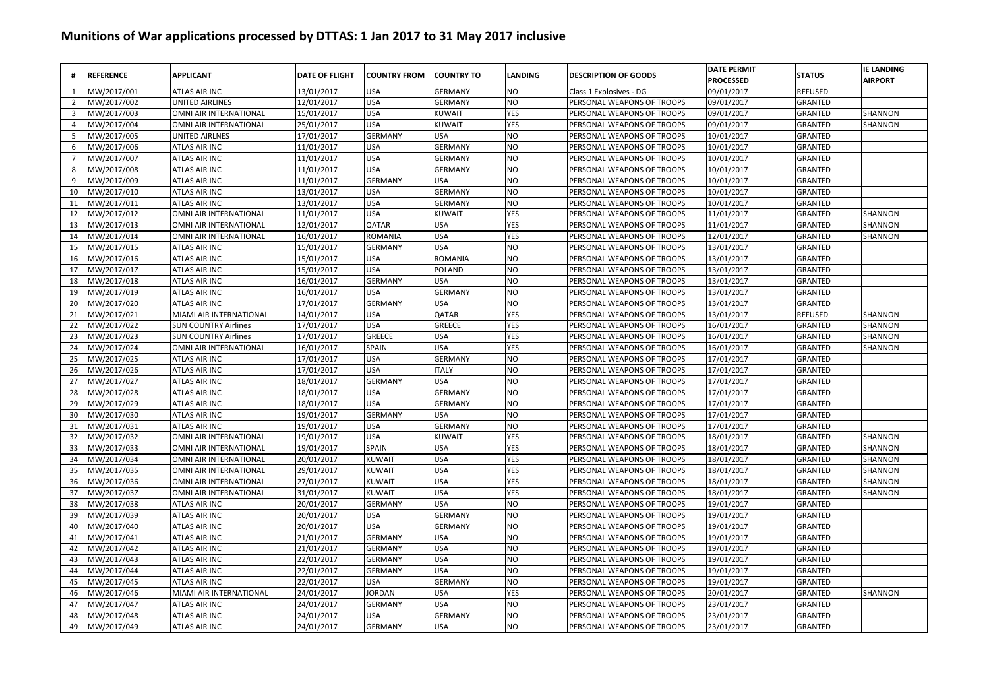| #              | <b>REFERENCE</b> | <b>APPLICANT</b>              | <b>DATE OF FLIGHT</b> | <b>COUNTRY FROM</b> | <b>COUNTRY TO</b> | LANDING    | <b>DESCRIPTION OF GOODS</b> | <b>DATE PERMIT</b><br><b>PROCESSED</b> | <b>STATUS</b>  | <b>IE LANDING</b><br><b>AIRPORT</b> |
|----------------|------------------|-------------------------------|-----------------------|---------------------|-------------------|------------|-----------------------------|----------------------------------------|----------------|-------------------------------------|
| 1              | MW/2017/001      | <b>ATLAS AIR INC</b>          | 13/01/2017            | <b>USA</b>          | <b>GERMANY</b>    | NO         | Class 1 Explosives - DG     | 09/01/2017                             | <b>REFUSED</b> |                                     |
| $\overline{2}$ | MW/2017/002      | <b>UNITED AIRLINES</b>        | 12/01/2017            | <b>USA</b>          | <b>GERMANY</b>    | <b>NO</b>  | PERSONAL WEAPONS OF TROOPS  | 09/01/2017                             | GRANTED        |                                     |
| 3              | MW/2017/003      | OMNI AIR INTERNATIONAL        | 15/01/2017            | <b>USA</b>          | <b>KUWAIT</b>     | YES        | PERSONAL WEAPONS OF TROOPS  | 09/01/2017                             | GRANTED        | SHANNON                             |
| 4              | MW/2017/004      | OMNI AIR INTERNATIONAL        | 25/01/2017            | <b>USA</b>          | KUWAIT            | YES        | PERSONAL WEAPONS OF TROOPS  | 09/01/2017                             | GRANTED        | SHANNON                             |
| 5              | MW/2017/005      | <b>UNITED AIRLNES</b>         | 17/01/2017            | <b>GERMANY</b>      | <b>USA</b>        | NO         | PERSONAL WEAPONS OF TROOPS  | 10/01/2017                             | GRANTED        |                                     |
| 6              | VIW/2017/006     | ATLAS AIR INC                 | 11/01/2017            | <b>USA</b>          | <b>GERMANY</b>    | NO         | PERSONAL WEAPONS OF TROOPS  | 10/01/2017                             | GRANTED        |                                     |
| $\overline{7}$ | VIW/2017/007     | <b>ATLAS AIR INC</b>          | 11/01/2017            | <b>USA</b>          | <b>GERMANY</b>    | NO         | PERSONAL WEAPONS OF TROOPS  | 10/01/2017                             | <b>GRANTED</b> |                                     |
| 8              | MW/2017/008      | <b>ATLAS AIR INC</b>          | 11/01/2017            | <b>USA</b>          | <b>GERMANY</b>    | NO         | PERSONAL WEAPONS OF TROOPS  | 10/01/2017                             | <b>GRANTED</b> |                                     |
| 9              | MW/2017/009      | <b>ATLAS AIR INC</b>          | 11/01/2017            | <b>GERMANY</b>      | <b>USA</b>        | NO         | PERSONAL WEAPONS OF TROOPS  | 10/01/2017                             | <b>GRANTED</b> |                                     |
| 10             | MW/2017/010      | <b>ATLAS AIR INC</b>          | 13/01/2017            | <b>USA</b>          | <b>GERMANY</b>    | NO         | PERSONAL WEAPONS OF TROOPS  | 10/01/2017                             | <b>GRANTED</b> |                                     |
| 11             | MW/2017/011      | <b>ATLAS AIR INC</b>          | 13/01/2017            | <b>USA</b>          | <b>GERMANY</b>    | NO         | PERSONAL WEAPONS OF TROOPS  | 10/01/2017                             | <b>GRANTED</b> |                                     |
| 12             | MW/2017/012      | OMNI AIR INTERNATIONAL        | 11/01/2017            | <b>USA</b>          | <b>KUWAIT</b>     | YES        | PERSONAL WEAPONS OF TROOPS  | 11/01/2017                             | <b>GRANTED</b> | SHANNON                             |
| 13             | MW/2017/013      | OMNI AIR INTERNATIONAL        | 12/01/2017            | QATAR               | <b>USA</b>        | YES        | PERSONAL WEAPONS OF TROOPS  | 11/01/2017                             | GRANTED        | SHANNON                             |
| 14             | MW/2017/014      | OMNI AIR INTERNATIONAL        | 16/01/2017            | <b>ROMANIA</b>      | <b>USA</b>        | YES        | PERSONAL WEAPONS OF TROOPS  | 12/01/2017                             | GRANTED        | SHANNON                             |
| 15             | MW/2017/015      | <b>ATLAS AIR INC</b>          | 15/01/2017            | <b>GERMANY</b>      | <b>USA</b>        | NO         | PERSONAL WEAPONS OF TROOPS  | 13/01/2017                             | GRANTED        |                                     |
| 16             | MW/2017/016      | <b>ATLAS AIR INC</b>          | 15/01/2017            | <b>USA</b>          | ROMANIA           | NO         | PERSONAL WEAPONS OF TROOPS  | 13/01/2017                             | GRANTED        |                                     |
| 17             | MW/2017/017      | <b>ATLAS AIR INC</b>          | 15/01/2017            | <b>USA</b>          | POLAND            | NO         | PERSONAL WEAPONS OF TROOPS  | 13/01/2017                             | GRANTED        |                                     |
| 18             | MW/2017/018      | <b>ATLAS AIR INC</b>          | 16/01/2017            | <b>GERMANY</b>      | <b>USA</b>        | NO         | PERSONAL WEAPONS OF TROOPS  | 13/01/2017                             | <b>GRANTED</b> |                                     |
| 19             | VIW/2017/019     | <b>ATLAS AIR INC</b>          | 16/01/2017            | <b>USA</b>          | <b>GERMANY</b>    | NO         | PERSONAL WEAPONS OF TROOPS  | 13/01/2017                             | <b>GRANTED</b> |                                     |
| 20             | MW/2017/020      | <b>ATLAS AIR INC</b>          | 17/01/2017            | <b>GERMANY</b>      | <b>USA</b>        | NO.        | PERSONAL WEAPONS OF TROOPS  | 13/01/2017                             | <b>GRANTED</b> |                                     |
| 21             | MW/2017/021      | MIAMI AIR INTERNATIONAL       | 14/01/2017            | <b>USA</b>          | QATAR             | YES        | PERSONAL WEAPONS OF TROOPS  | 13/01/2017                             | <b>REFUSED</b> | SHANNON                             |
| 22             | MW/2017/022      | <b>SUN COUNTRY Airlines</b>   | 17/01/2017            | <b>USA</b>          | GREECE            | <b>YES</b> | PERSONAL WEAPONS OF TROOPS  | 16/01/2017                             | <b>GRANTED</b> | SHANNON                             |
| 23             | MW/2017/023      | <b>SUN COUNTRY Airlines</b>   | 17/01/2017            | <b>GREECE</b>       | <b>USA</b>        | <b>YES</b> | PERSONAL WEAPONS OF TROOPS  | 16/01/2017                             | <b>GRANTED</b> | SHANNON                             |
| 24             | MW/2017/024      | OMNI AIR INTERNATIONAL        | 16/01/2017            | <b>SPAIN</b>        | <b>USA</b>        | YES        | PERSONAL WEAPONS OF TROOPS  | 16/01/2017                             | GRANTED        | SHANNON                             |
| 25             | MW/2017/025      | <b>ATLAS AIR INC</b>          | 17/01/2017            | <b>USA</b>          | <b>GERMANY</b>    | NO         | PERSONAL WEAPONS OF TROOPS  | 17/01/2017                             | GRANTED        |                                     |
| 26             | MW/2017/026      | <b>ATLAS AIR INC</b>          | 17/01/2017            | <b>USA</b>          | <b>ITALY</b>      | NO         | PERSONAL WEAPONS OF TROOPS  | 17/01/2017                             | GRANTED        |                                     |
| 27             | MW/2017/027      | <b>ATLAS AIR INC</b>          | 18/01/2017            | <b>GERMANY</b>      | <b>USA</b>        | NO         | PERSONAL WEAPONS OF TROOPS  | 17/01/2017                             | GRANTED        |                                     |
| 28             | MW/2017/028      | <b>ATLAS AIR INC</b>          | 18/01/2017            | <b>USA</b>          | <b>GERMANY</b>    | NO         | PERSONAL WEAPONS OF TROOPS  | 17/01/2017                             | GRANTED        |                                     |
| 29             | MW/2017/029      | ATLAS AIR INC                 | 18/01/2017            | <b>USA</b>          | <b>GERMANY</b>    | NO         | PERSONAL WEAPONS OF TROOPS  | 17/01/2017                             | GRANTED        |                                     |
| 30             | MW/2017/030      | <b>ATLAS AIR INC</b>          | 19/01/2017            | <b>GERMANY</b>      | <b>USA</b>        | NO         | PERSONAL WEAPONS OF TROOPS  | 17/01/2017                             | <b>GRANTED</b> |                                     |
| 31             | MW/2017/031      | <b>ATLAS AIR INC</b>          | 19/01/2017            | <b>USA</b>          | <b>GERMANY</b>    | NO         | PERSONAL WEAPONS OF TROOPS  | 17/01/2017                             | <b>GRANTED</b> |                                     |
| 32             | MW/2017/032      | OMNI AIR INTERNATIONAL        | 19/01/2017            | <b>USA</b>          | KUWAIT            | YES        | PERSONAL WEAPONS OF TROOPS  | 18/01/2017                             | <b>GRANTED</b> | SHANNON                             |
| 33             | MW/2017/033      | OMNI AIR INTERNATIONAL        | 19/01/2017            | SPAIN               | <b>USA</b>        | <b>YES</b> | PERSONAL WEAPONS OF TROOPS  | 18/01/2017                             | <b>GRANTED</b> | SHANNON                             |
| 34             | MW/2017/034      | OMNI AIR INTERNATIONAL        | 20/01/2017            | <b>KUWAIT</b>       | <b>USA</b>        | YES        | PERSONAL WEAPONS OF TROOPS  | 18/01/2017                             | <b>GRANTED</b> | SHANNON                             |
| 35             | MW/2017/035      | OMNI AIR INTERNATIONAL        | 29/01/2017            | <b>KUWAIT</b>       | <b>USA</b>        | <b>YES</b> | PERSONAL WEAPONS OF TROOPS  | 18/01/2017                             | <b>GRANTED</b> | SHANNON                             |
| 36             | MW/2017/036      | <b>OMNI AIR INTERNATIONAL</b> | 27/01/2017            | <b>KUWAIT</b>       | <b>USA</b>        | YES        | PERSONAL WEAPONS OF TROOPS  | 18/01/2017                             | <b>GRANTED</b> | SHANNON                             |
| 37             | MW/2017/037      | OMNI AIR INTERNATIONAL        | 31/01/2017            | <b>KUWAIT</b>       | <b>USA</b>        | YES        | PERSONAL WEAPONS OF TROOPS  | 18/01/2017                             | GRANTED        | SHANNON                             |
| 38             | MW/2017/038      | <b>ATLAS AIR INC</b>          | 20/01/2017            | <b>GERMANY</b>      | <b>USA</b>        | NO         | PERSONAL WEAPONS OF TROOPS  | 19/01/2017                             | GRANTED        |                                     |
| 39             | MW/2017/039      | <b>ATLAS AIR INC</b>          | 20/01/2017            | <b>USA</b>          | <b>GERMANY</b>    | NO         | PERSONAL WEAPONS OF TROOPS  | 19/01/2017                             | GRANTED        |                                     |
| 40             | MW/2017/040      | <b>ATLAS AIR INC</b>          | 20/01/2017            | <b>USA</b>          | <b>GERMANY</b>    | NO         | PERSONAL WEAPONS OF TROOPS  | 19/01/2017                             | GRANTED        |                                     |
| 41             | MW/2017/041      | <b>ATLAS AIR INC</b>          | 21/01/2017            | <b>GERMANY</b>      | <b>USA</b>        | NO         | PERSONAL WEAPONS OF TROOPS  | 19/01/2017                             | <b>GRANTED</b> |                                     |
| 42             | MW/2017/042      | ATLAS AIR INC                 | 21/01/2017            | <b>GERMANY</b>      | <b>USA</b>        | NO         | PERSONAL WEAPONS OF TROOPS  | 19/01/2017                             | <b>GRANTED</b> |                                     |
| 43             | MW/2017/043      | ATLAS AIR INC                 | 22/01/2017            | <b>GERMANY</b>      | <b>USA</b>        | NO         | PERSONAL WEAPONS OF TROOPS  | 19/01/2017                             | <b>GRANTED</b> |                                     |
| 44             | MW/2017/044      | <b>ATLAS AIR INC</b>          | 22/01/2017            | <b>GERMANY</b>      | <b>USA</b>        | NO         | PERSONAL WEAPONS OF TROOPS  | 19/01/2017                             | GRANTED        |                                     |
| 45             | MW/2017/045      | <b>ATLAS AIR INC</b>          | 22/01/2017            | <b>USA</b>          | <b>GERMANY</b>    | NO         | PERSONAL WEAPONS OF TROOPS  | 19/01/2017                             | GRANTED        |                                     |
| 46             | MW/2017/046      | MIAMI AIR INTERNATIONAL       | 24/01/2017            | <b>JORDAN</b>       | <b>USA</b>        | YES        | PERSONAL WEAPONS OF TROOPS  | 20/01/2017                             | GRANTED        | SHANNON                             |
| 47             | MW/2017/047      | <b>ATLAS AIR INC</b>          | 24/01/2017            | <b>GERMANY</b>      | <b>USA</b>        | NO         | PERSONAL WEAPONS OF TROOPS  | 23/01/2017                             | GRANTED        |                                     |
| 48             | MW/2017/048      | <b>ATLAS AIR INC</b>          | 24/01/2017            | <b>USA</b>          | <b>GERMANY</b>    | NO         | PERSONAL WEAPONS OF TROOPS  | 23/01/2017                             | <b>GRANTED</b> |                                     |
| 49             | MW/2017/049      | ATLAS AIR INC                 | 24/01/2017            | <b>GERMANY</b>      | <b>USA</b>        | NO         | PERSONAL WEAPONS OF TROOPS  | 23/01/2017                             | <b>GRANTED</b> |                                     |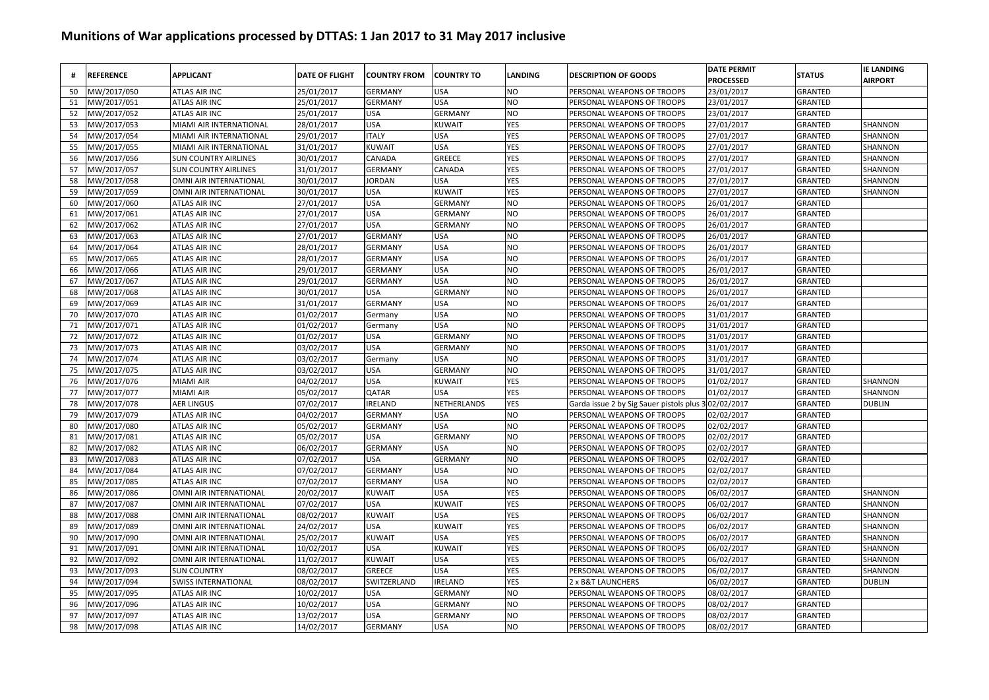|    | <b>REFERENCE</b> | <b>APPLICANT</b>            | <b>DATE OF FLIGHT</b> | <b>COUNTRY FROM</b> | <b>COUNTRY TO</b> | <b>LANDING</b> | <b>DESCRIPTION OF GOODS</b>                          | <b>DATE PERMIT</b><br><b>PROCESSED</b> | <b>STATUS</b>  | <b>IE LANDING</b><br><b>AIRPORT</b> |
|----|------------------|-----------------------------|-----------------------|---------------------|-------------------|----------------|------------------------------------------------------|----------------------------------------|----------------|-------------------------------------|
| 50 | MW/2017/050      | <b>ATLAS AIR INC</b>        | 25/01/2017            | GERMANY             | <b>USA</b>        | NO             | PERSONAL WEAPONS OF TROOPS                           | 23/01/2017                             | GRANTED        |                                     |
| 51 | MW/2017/051      | <b>ATLAS AIR INC</b>        | 25/01/2017            | GERMANY             | <b>USA</b>        | NO             | PERSONAL WEAPONS OF TROOPS                           | 23/01/2017                             | GRANTED        |                                     |
| 52 | MW/2017/052      | ATLAS AIR INC               | 25/01/2017            | USA                 | <b>GERMANY</b>    | NO             | PERSONAL WEAPONS OF TROOPS                           | 23/01/2017                             | GRANTED        |                                     |
| 53 | MW/2017/053      | MIAMI AIR INTERNATIONAL     | 28/01/2017            | USA                 | KUWAIT            | YES            | PERSONAL WEAPONS OF TROOPS                           | 27/01/2017                             | GRANTED        | SHANNON                             |
| 54 | MW/2017/054      | MIAMI AIR INTERNATIONAL     | 29/01/2017            | <b>ITALY</b>        | <b>USA</b>        | <b>YES</b>     | PERSONAL WEAPONS OF TROOPS                           | 27/01/2017                             | GRANTED        | SHANNON                             |
| 55 | MW/2017/055      | MIAMI AIR INTERNATIONAL     | 31/01/2017            | KUWAIT              | <b>USA</b>        | <b>YES</b>     | PERSONAL WEAPONS OF TROOPS                           | 27/01/2017                             | GRANTED        | SHANNON                             |
| 56 | MW/2017/056      | <b>SUN COUNTRY AIRLINES</b> | 30/01/2017            | CANADA              | <b>GREECE</b>     | YES            | PERSONAL WEAPONS OF TROOPS                           | 27/01/2017                             | GRANTED        | SHANNON                             |
| 57 | MW/2017/057      | <b>SUN COUNTRY AIRLINES</b> | 31/01/2017            | GERMANY             | CANADA            | YES            | PERSONAL WEAPONS OF TROOPS                           | 27/01/2017                             | GRANTED        | SHANNON                             |
| 58 | MW/2017/058      | OMNI AIR INTERNATIONAL      | 30/01/2017            | <b>JORDAN</b>       | <b>USA</b>        | <b>YES</b>     | PERSONAL WEAPONS OF TROOPS                           | 27/01/2017                             | GRANTED        | SHANNON                             |
| 59 | MW/2017/059      | OMNI AIR INTERNATIONAL      | 30/01/2017            | USA                 | <b>KUWAIT</b>     | <b>YES</b>     | PERSONAL WEAPONS OF TROOPS                           | 27/01/2017                             | GRANTED        | SHANNON                             |
| 60 | MW/2017/060      | <b>ATLAS AIR INC</b>        | 27/01/2017            | USA                 | <b>GERMANY</b>    | NO             | PERSONAL WEAPONS OF TROOPS                           | 26/01/2017                             | <b>GRANTED</b> |                                     |
| 61 | MW/2017/061      | <b>ATLAS AIR INC</b>        | 27/01/2017            | USA                 | <b>GERMANY</b>    | NO             | PERSONAL WEAPONS OF TROOPS                           | 26/01/2017                             | <b>GRANTED</b> |                                     |
| 62 | MW/2017/062      | <b>ATLAS AIR INC</b>        | 27/01/2017            | USA                 | <b>GERMANY</b>    | NO             | PERSONAL WEAPONS OF TROOPS                           | 26/01/2017                             | GRANTED        |                                     |
| 63 | MW/2017/063      | ATLAS AIR INC               | 27/01/2017            | <b>GERMANY</b>      | <b>USA</b>        | NO             | PERSONAL WEAPONS OF TROOPS                           | 26/01/2017                             | <b>GRANTED</b> |                                     |
| 64 | MW/2017/064      | <b>ATLAS AIR INC</b>        | 28/01/2017            | <b>GERMANY</b>      | <b>USA</b>        | NO             | PERSONAL WEAPONS OF TROOPS                           | 26/01/2017                             | GRANTED        |                                     |
| 65 | MW/2017/065      | ATLAS AIR INC               | 28/01/2017            | <b>GERMANY</b>      | <b>USA</b>        | NO             | PERSONAL WEAPONS OF TROOPS                           | 26/01/2017                             | <b>GRANTED</b> |                                     |
| 66 | MW/2017/066      | ATLAS AIR INC               | 29/01/2017            | <b>GERMANY</b>      | <b>USA</b>        | NO             | PERSONAL WEAPONS OF TROOPS                           | 26/01/2017                             | GRANTED        |                                     |
| 67 | MW/2017/067      | ATLAS AIR INC               | 29/01/2017            | GERMANY             | <b>USA</b>        | NO             | PERSONAL WEAPONS OF TROOPS                           | 26/01/2017                             | GRANTED        |                                     |
| 68 | MW/2017/068      | <b>ATLAS AIR INC</b>        | 30/01/2017            | USA                 | <b>GERMANY</b>    | NΟ             | PERSONAL WEAPONS OF TROOPS                           | 26/01/2017                             | <b>GRANTED</b> |                                     |
| 69 | MW/2017/069      | ATLAS AIR INC               | 31/01/2017            | GERMANY             | <b>USA</b>        | NO             | PERSONAL WEAPONS OF TROOPS                           | 26/01/2017                             | GRANTED        |                                     |
| 70 | MW/2017/070      | ATLAS AIR INC               | 01/02/2017            | Germany             | <b>USA</b>        | N <sub>O</sub> | PERSONAL WEAPONS OF TROOPS                           | 31/01/2017                             | <b>GRANTED</b> |                                     |
| 71 | MW/2017/071      | ATLAS AIR INC               | 01/02/2017            | Germany             | <b>USA</b>        | NO             | PERSONAL WEAPONS OF TROOPS                           | 31/01/2017                             | GRANTED        |                                     |
| 72 | MW/2017/072      | <b>ATLAS AIR INC</b>        | 01/02/2017            | USA                 | <b>GERMANY</b>    | NO             | PERSONAL WEAPONS OF TROOPS                           | 31/01/2017                             | <b>GRANTED</b> |                                     |
| 73 | MW/2017/073      | <b>ATLAS AIR INC</b>        | 03/02/2017            | USA                 | <b>GERMANY</b>    | N <sub>O</sub> | PERSONAL WEAPONS OF TROOPS                           | 31/01/2017                             | <b>GRANTED</b> |                                     |
| 74 | MW/2017/074      | <b>ATLAS AIR INC</b>        | 03/02/2017            | Germany             | <b>USA</b>        | NO             | PERSONAL WEAPONS OF TROOPS                           | 31/01/2017                             | <b>GRANTED</b> |                                     |
| 75 | MW/2017/075      | <b>ATLAS AIR INC</b>        | 03/02/2017            | USA                 | <b>GERMANY</b>    | NO             | PERSONAL WEAPONS OF TROOPS                           | 31/01/2017                             | <b>GRANTED</b> |                                     |
| 76 | MW/2017/076      | <b>MIAMI AIR</b>            | 04/02/2017            | USA                 | KUWAIT            | YES            | PERSONAL WEAPONS OF TROOPS                           | 01/02/2017                             | GRANTED        | SHANNON                             |
| 77 | MW/2017/077      | <b>MIAMI AIR</b>            | 05/02/2017            | QATAR               | <b>USA</b>        | YES            | PERSONAL WEAPONS OF TROOPS                           | 01/02/2017                             | GRANTED        | SHANNON                             |
| 78 | MW/2017/078      | <b>AER LINGUS</b>           | 07/02/2017            | <b>IRELAND</b>      | NETHERLANDS       | <b>YES</b>     | Garda issue 2 by Sig Sauer pistols plus 3 02/02/2017 |                                        | <b>GRANTED</b> | <b>DUBLIN</b>                       |
| 79 | MW/2017/079      | <b>ATLAS AIR INC</b>        | 04/02/2017            | <b>GERMANY</b>      | <b>USA</b>        | NO             | PERSONAL WEAPONS OF TROOPS                           | 02/02/2017                             | <b>GRANTED</b> |                                     |
| 80 | MW/2017/080      | ATLAS AIR INC               | 05/02/2017            | GERMANY             | <b>USA</b>        | NO             | PERSONAL WEAPONS OF TROOPS                           | 02/02/2017                             | GRANTED        |                                     |
| 81 | MW/2017/081      | ATLAS AIR INC               | 05/02/2017            | USA                 | <b>GERMANY</b>    | NO             | PERSONAL WEAPONS OF TROOPS                           | 02/02/2017                             | GRANTED        |                                     |
| 82 | MW/2017/082      | ATLAS AIR INC               | 06/02/2017            | GERMANY             | <b>USA</b>        | NΟ             | PERSONAL WEAPONS OF TROOPS                           | 02/02/2017                             | GRANTED        |                                     |
| 83 | MW/2017/083      | ATLAS AIR INC               | 07/02/2017            | USA                 | <b>GERMANY</b>    | N <sub>O</sub> | PERSONAL WEAPONS OF TROOPS                           | 02/02/2017                             | GRANTED        |                                     |
| 84 | MW/2017/084      | ATLAS AIR INC               | 07/02/2017            | <b>GERMANY</b>      | <b>USA</b>        | NO             | PERSONAL WEAPONS OF TROOPS                           | 02/02/2017                             | GRANTED        |                                     |
| 85 | MW/2017/085      | <b>ATLAS AIR INC</b>        | 07/02/2017            | GERMANY             | <b>USA</b>        | NO             | PERSONAL WEAPONS OF TROOPS                           | 02/02/2017                             | <b>GRANTED</b> |                                     |
| 86 | MW/2017/086      | OMNI AIR INTERNATIONAL      | 20/02/2017            | KUWAIT              | <b>USA</b>        | <b>YES</b>     | PERSONAL WEAPONS OF TROOPS                           | 06/02/2017                             | GRANTED        | SHANNON                             |
| 87 | MW/2017/087      | OMNI AIR INTERNATIONAL      | 07/02/2017            | USA                 | <b>KUWAIT</b>     | YES            | PERSONAL WEAPONS OF TROOPS                           | 06/02/2017                             | <b>GRANTED</b> | SHANNON                             |
| 88 | MW/2017/088      | OMNI AIR INTERNATIONAL      | 08/02/2017            | KUWAIT              | <b>USA</b>        | YES            | PERSONAL WEAPONS OF TROOPS                           | 06/02/2017                             | <b>GRANTED</b> | SHANNON                             |
| 89 | MW/2017/089      | OMNI AIR INTERNATIONAL      | 24/02/2017            | USA                 | <b>KUWAIT</b>     | YES            | PERSONAL WEAPONS OF TROOPS                           | 06/02/2017                             | GRANTED        | SHANNON                             |
| 90 | MW/2017/090      | OMNI AIR INTERNATIONAL      | 25/02/2017            | KUWAIT              | <b>USA</b>        | YES            | PERSONAL WEAPONS OF TROOPS                           | 06/02/2017                             | GRANTED        | SHANNON                             |
| 91 | MW/2017/091      | OMNI AIR INTERNATIONAL      | 10/02/2017            | USA                 | KUWAIT            | YES            | PERSONAL WEAPONS OF TROOPS                           | 06/02/2017                             | <b>GRANTED</b> | SHANNON                             |
| 92 | MW/2017/092      | OMNI AIR INTERNATIONAL      | 11/02/2017            | KUWAIT              | <b>USA</b>        | YES            | PERSONAL WEAPONS OF TROOPS                           | 06/02/2017                             | GRANTED        | SHANNON                             |
| 93 | MW/2017/093      | <b>SUN COUNTRY</b>          | 08/02/2017            | GREECE              | <b>USA</b>        | <b>YES</b>     | PERSONAL WEAPONS OF TROOPS                           | 06/02/2017                             | GRANTED        | SHANNON                             |
| 94 | MW/2017/094      | <b>SWISS INTERNATIONAL</b>  | 08/02/2017            | SWITZERLAND         | IRELAND           | YES            | 2 x B&T LAUNCHERS                                    | 06/02/2017                             | GRANTED        | <b>DUBLIN</b>                       |
| 95 | MW/2017/095      | ATLAS AIR INC               | 10/02/2017            | USA                 | <b>GERMANY</b>    | NO             | PERSONAL WEAPONS OF TROOPS                           | 08/02/2017                             | GRANTED        |                                     |
| 96 | MW/2017/096      | ATLAS AIR INC               | 10/02/2017            | USA                 | <b>GERMANY</b>    | NO             | PERSONAL WEAPONS OF TROOPS                           | 08/02/2017                             | GRANTED        |                                     |
| 97 | MW/2017/097      | ATLAS AIR INC               | 13/02/2017            | USA                 | <b>GERMANY</b>    | NO             | PERSONAL WEAPONS OF TROOPS                           | 08/02/2017                             | GRANTED        |                                     |
| 98 | MW/2017/098      | ATLAS AIR INC               | 14/02/2017            | <b>GERMANY</b>      | <b>USA</b>        | NO             | PERSONAL WEAPONS OF TROOPS                           | 08/02/2017                             | <b>GRANTED</b> |                                     |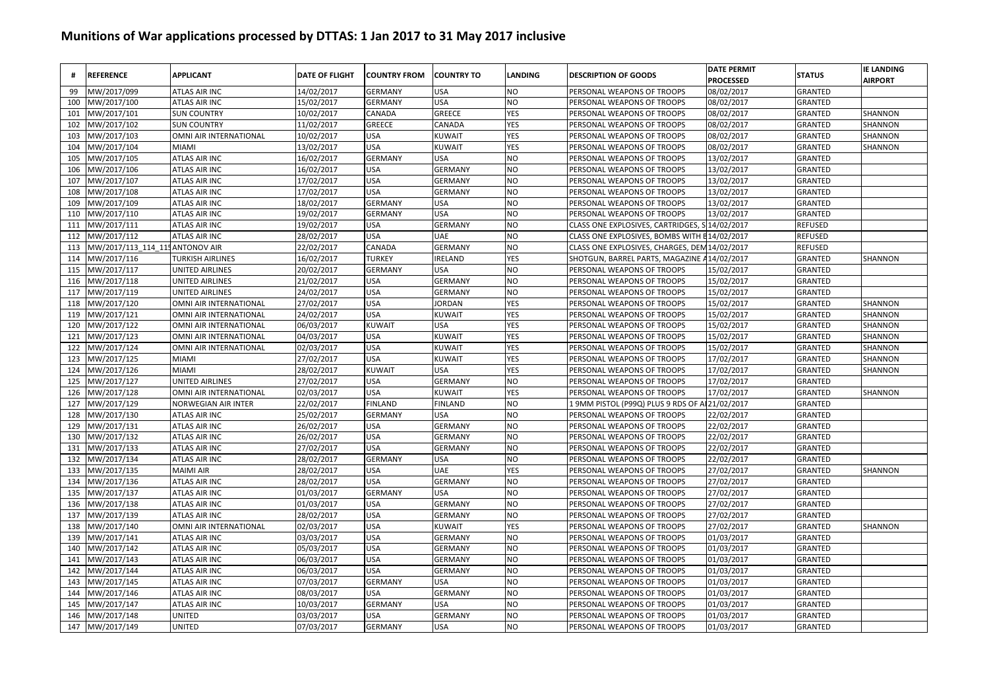| #   | <b>REFERENCE</b>               | <b>APPLICANT</b>              | <b>DATE OF FLIGHT</b> | <b>COUNTRY FROM</b> | <b>COUNTRY TO</b> | LANDING    | <b>DESCRIPTION OF GOODS</b>                   | <b>DATE PERMIT</b><br><b>PROCESSED</b> | <b>STATUS</b>  | <b>IE LANDING</b><br><b>AIRPORT</b> |
|-----|--------------------------------|-------------------------------|-----------------------|---------------------|-------------------|------------|-----------------------------------------------|----------------------------------------|----------------|-------------------------------------|
| 99  | MW/2017/099                    | <b>ATLAS AIR INC</b>          | 14/02/2017            | <b>GERMANY</b>      | <b>USA</b>        | NO         | PERSONAL WEAPONS OF TROOPS                    | 08/02/2017                             | <b>GRANTED</b> |                                     |
| 100 | MW/2017/100                    | <b>ATLAS AIR INC</b>          | 15/02/2017            | <b>GERMANY</b>      | <b>USA</b>        | <b>NO</b>  | PERSONAL WEAPONS OF TROOPS                    | 08/02/2017                             | GRANTED        |                                     |
| 101 | MW/2017/101                    | <b>SUN COUNTRY</b>            | 10/02/2017            | CANADA              | GREECE            | YES        | PERSONAL WEAPONS OF TROOPS                    | 08/02/2017                             | GRANTED        | SHANNON                             |
| 102 | MW/2017/102                    | <b>SUN COUNTRY</b>            | 11/02/2017            | <b>GREECE</b>       | CANADA            | YES        | PERSONAL WEAPONS OF TROOPS                    | 08/02/2017                             | GRANTED        | SHANNON                             |
| 103 | MW/2017/103                    | OMNI AIR INTERNATIONAL        | 10/02/2017            | <b>USA</b>          | <b>KUWAIT</b>     | YES        | PERSONAL WEAPONS OF TROOPS                    | 08/02/2017                             | GRANTED        | SHANNON                             |
| 104 | MW/2017/104                    | MIAMI                         | 13/02/2017            | <b>USA</b>          | <b>KUWAIT</b>     | YES        | PERSONAL WEAPONS OF TROOPS                    | 08/02/2017                             | GRANTED        | SHANNON                             |
| 105 | MW/2017/105                    | <b>ATLAS AIR INC</b>          | 16/02/2017            | <b>GERMANY</b>      | <b>USA</b>        | NO         | PERSONAL WEAPONS OF TROOPS                    | 13/02/2017                             | GRANTED        |                                     |
| 106 | MW/2017/106                    | ATLAS AIR INC                 | 16/02/2017            | <b>USA</b>          | <b>GERMANY</b>    | NO         | PERSONAL WEAPONS OF TROOPS                    | 13/02/2017                             | <b>GRANTED</b> |                                     |
| 107 | MW/2017/107                    | <b>ATLAS AIR INC</b>          | 17/02/2017            | <b>USA</b>          | <b>GERMANY</b>    | NO         | PERSONAL WEAPONS OF TROOPS                    | 13/02/2017                             | <b>GRANTED</b> |                                     |
| 108 | MW/2017/108                    | <b>ATLAS AIR INC</b>          | 17/02/2017            | <b>USA</b>          | <b>GERMANY</b>    | NO         | PERSONAL WEAPONS OF TROOPS                    | 13/02/2017                             | <b>GRANTED</b> |                                     |
| 109 | MW/2017/109                    | <b>ATLAS AIR INC</b>          | 18/02/2017            | <b>GERMANY</b>      | <b>USA</b>        | NO         | PERSONAL WEAPONS OF TROOPS                    | 13/02/2017                             | <b>GRANTED</b> |                                     |
| 110 | MW/2017/110                    | <b>ATLAS AIR INC</b>          | 19/02/2017            | <b>GERMANY</b>      | <b>USA</b>        | NO         | PERSONAL WEAPONS OF TROOPS                    | 13/02/2017                             | <b>GRANTED</b> |                                     |
| 111 | MW/2017/111                    | <b>ATLAS AIR INC</b>          | 19/02/2017            | <b>USA</b>          | <b>GERMANY</b>    | NO         | CLASS ONE EXPLOSIVES, CARTRIDGES,             | 14/02/2017                             | <b>REFUSED</b> |                                     |
| 112 | MW/2017/112                    | <b>ATLAS AIR INC</b>          | 28/02/2017            | <b>USA</b>          | UAE               | NO         | CLASS ONE EXPLOSIVES, BOMBS WITH I            | E14/02/2017                            | <b>REFUSED</b> |                                     |
| 113 | MW/2017/113 114 115ANTONOV AIR |                               | 22/02/2017            | CANADA              | <b>GERMANY</b>    | NO         | CLASS ONE EXPLOSIVES, CHARGES, DEM 14/02/2017 |                                        | <b>REFUSED</b> |                                     |
| 114 | MW/2017/116                    | <b>TURKISH AIRLINES</b>       | 16/02/2017            | <b>TURKEY</b>       | <b>IRELAND</b>    | YES        | SHOTGUN, BARREL PARTS, MAGAZINE               | 414/02/2017                            | GRANTED        | SHANNON                             |
| 115 | MW/2017/117                    | <b>UNITED AIRLINES</b>        | 20/02/2017            | <b>GERMANY</b>      | <b>USA</b>        | NO         | PERSONAL WEAPONS OF TROOPS                    | 15/02/2017                             | GRANTED        |                                     |
| 116 | MW/2017/118                    | <b>UNITED AIRLINES</b>        | 21/02/2017            | <b>USA</b>          | <b>GERMANY</b>    | NO         | PERSONAL WEAPONS OF TROOPS                    | 15/02/2017                             | <b>GRANTED</b> |                                     |
| 117 | MW/2017/119                    | <b>UNITED AIRLINES</b>        | 24/02/2017            | <b>USA</b>          | <b>GERMANY</b>    | NO         | PERSONAL WEAPONS OF TROOPS                    | 15/02/2017                             | <b>GRANTED</b> |                                     |
| 118 | MW/2017/120                    | OMNI AIR INTERNATIONAL        | 27/02/2017            | <b>USA</b>          | <b>JORDAN</b>     | YES        | PERSONAL WEAPONS OF TROOPS                    | 15/02/2017                             | <b>GRANTED</b> | SHANNON                             |
| 119 | MW/2017/121                    | OMNI AIR INTERNATIONAL        | 24/02/2017            | <b>USA</b>          | KUWAIT            | YES        | PERSONAL WEAPONS OF TROOPS                    | 15/02/2017                             | <b>GRANTED</b> | SHANNON                             |
| 120 | MW/2017/122                    | OMNI AIR INTERNATIONAL        | 06/03/2017            | <b>KUWAIT</b>       | <b>USA</b>        | <b>YES</b> | PERSONAL WEAPONS OF TROOPS                    | 15/02/2017                             | <b>GRANTED</b> | SHANNON                             |
| 121 | MW/2017/123                    | <b>OMNI AIR INTERNATIONAL</b> | 04/03/2017            | <b>USA</b>          | <b>KUWAIT</b>     | YES        | PERSONAL WEAPONS OF TROOPS                    | 15/02/2017                             | <b>GRANTED</b> | SHANNON                             |
| 122 | MW/2017/124                    | OMNI AIR INTERNATIONAL        | 02/03/2017            | <b>USA</b>          | <b>KUWAIT</b>     | YES        | PERSONAL WEAPONS OF TROOPS                    | 15/02/2017                             | <b>GRANTED</b> | SHANNON                             |
| 123 | MW/2017/125                    | <b>MIAMI</b>                  | 27/02/2017            | <b>USA</b>          | <b>KUWAIT</b>     | YES        | PERSONAL WEAPONS OF TROOPS                    | 17/02/2017                             | GRANTED        | SHANNON                             |
| 124 | MW/2017/126                    | <b>MIAMI</b>                  | 28/02/2017            | <b>KUWAIT</b>       | <b>USA</b>        | YES        | PERSONAL WEAPONS OF TROOPS                    | 17/02/2017                             | GRANTED        | SHANNON                             |
| 125 | MW/2017/127                    | <b>UNITED AIRLINES</b>        | 27/02/2017            | <b>USA</b>          | <b>GERMANY</b>    | NO         | PERSONAL WEAPONS OF TROOPS                    | 17/02/2017                             | GRANTED        |                                     |
| 126 | MW/2017/128                    | OMNI AIR INTERNATIONAL        | 02/03/2017            | <b>USA</b>          | <b>KUWAIT</b>     | YES        | PERSONAL WEAPONS OF TROOPS                    | 17/02/2017                             | GRANTED        | SHANNON                             |
| 127 | MW/2017/129                    | <b>NORWEGIAN AIR INTER</b>    | 22/02/2017            | <b>FINLAND</b>      | <b>FINLAND</b>    | NO         | 1 9MM PISTOL (P99Q) PLUS 9 RDS OF A           | 21/02/2017                             | GRANTED        |                                     |
| 128 | MW/2017/130                    | <b>ATLAS AIR INC</b>          | 25/02/2017            | <b>GERMANY</b>      | <b>USA</b>        | NO         | PERSONAL WEAPONS OF TROOPS                    | 22/02/2017                             | <b>GRANTED</b> |                                     |
| 129 | MW/2017/131                    | <b>ATLAS AIR INC</b>          | 26/02/2017            | <b>USA</b>          | <b>GERMANY</b>    | NO         | PERSONAL WEAPONS OF TROOPS                    | 22/02/2017                             | <b>GRANTED</b> |                                     |
| 130 | MW/2017/132                    | <b>ATLAS AIR INC</b>          | 26/02/2017            | <b>USA</b>          | <b>GERMANY</b>    | NO         | PERSONAL WEAPONS OF TROOPS                    | 22/02/2017                             | GRANTED        |                                     |
| 131 | MW/2017/133                    | <b>ATLAS AIR INC</b>          | 27/02/2017            | <b>USA</b>          | <b>GERMANY</b>    | NO         | PERSONAL WEAPONS OF TROOPS                    | 22/02/2017                             | <b>GRANTED</b> |                                     |
| 132 | MW/2017/134                    | <b>ATLAS AIR INC</b>          | 28/02/2017            | <b>GERMANY</b>      | <b>USA</b>        | NO         | PERSONAL WEAPONS OF TROOPS                    | 22/02/2017                             | GRANTED        |                                     |
| 133 | MW/2017/135                    | <b>MAIMI AIR</b>              | 28/02/2017            | <b>USA</b>          | <b>UAE</b>        | YES        | PERSONAL WEAPONS OF TROOPS                    | 27/02/2017                             | <b>GRANTED</b> | SHANNON                             |
| 134 | MW/2017/136                    | <b>ATLAS AIR INC</b>          | 28/02/2017            | <b>USA</b>          | <b>GERMANY</b>    | NO         | PERSONAL WEAPONS OF TROOPS                    | 27/02/2017                             | <b>GRANTED</b> |                                     |
| 135 | MW/2017/137                    | <b>ATLAS AIR INC</b>          | 01/03/2017            | <b>GERMANY</b>      | <b>USA</b>        | NO         | PERSONAL WEAPONS OF TROOPS                    | 27/02/2017                             | <b>GRANTED</b> |                                     |
| 136 | MW/2017/138                    | <b>ATLAS AIR INC</b>          | 01/03/2017            | <b>USA</b>          | <b>GERMANY</b>    | NO         | PERSONAL WEAPONS OF TROOPS                    | 27/02/2017                             | GRANTED        |                                     |
| 137 | MW/2017/139                    | <b>ATLAS AIR INC</b>          | 28/02/2017            | <b>USA</b>          | <b>GERMANY</b>    | NO         | PERSONAL WEAPONS OF TROOPS                    | 27/02/2017                             | GRANTED        |                                     |
| 138 | MW/2017/140                    | OMNI AIR INTERNATIONAL        | 02/03/2017            | <b>USA</b>          | KUWAIT            | YES        | PERSONAL WEAPONS OF TROOPS                    | 27/02/2017                             | GRANTED        | <b>SHANNON</b>                      |
| 139 | MW/2017/141                    | <b>ATLAS AIR INC</b>          | 03/03/2017            | <b>USA</b>          | <b>GERMANY</b>    | NO         | PERSONAL WEAPONS OF TROOPS                    | 01/03/2017                             | GRANTED        |                                     |
| 140 | MW/2017/142                    | ATLAS AIR INC                 | 05/03/2017            | <b>USA</b>          | <b>GERMANY</b>    | NO         | PERSONAL WEAPONS OF TROOPS                    | 01/03/2017                             | <b>GRANTED</b> |                                     |
| 141 | MW/2017/143                    | ATLAS AIR INC                 | 06/03/2017            | <b>USA</b>          | <b>GERMANY</b>    | NO         | PERSONAL WEAPONS OF TROOPS                    | 01/03/2017                             | <b>GRANTED</b> |                                     |
| 142 | MW/2017/144                    | <b>ATLAS AIR INC</b>          | 06/03/2017            | <b>USA</b>          | <b>GERMANY</b>    | NO         | PERSONAL WEAPONS OF TROOPS                    | 01/03/2017                             | GRANTED        |                                     |
| 143 | MW/2017/145                    | ATLAS AIR INC                 | 07/03/2017            | <b>GERMANY</b>      | <b>USA</b>        | NO         | PERSONAL WEAPONS OF TROOPS                    | 01/03/2017                             | GRANTED        |                                     |
| 144 | VIW/2017/146                   | <b>ATLAS AIR INC</b>          | 08/03/2017            | <b>USA</b>          | <b>GERMANY</b>    | NO         | PERSONAL WEAPONS OF TROOPS                    | 01/03/2017                             | GRANTED        |                                     |
| 145 | MW/2017/147                    | <b>ATLAS AIR INC</b>          | 10/03/2017            | <b>GERMANY</b>      | USA               | NO         | PERSONAL WEAPONS OF TROOPS                    | 01/03/2017                             | GRANTED        |                                     |
| 146 | MW/2017/148                    | <b>UNITED</b>                 | 03/03/2017            | <b>USA</b>          | <b>GERMANY</b>    | NO         | PERSONAL WEAPONS OF TROOPS                    | 01/03/2017                             | GRANTED        |                                     |
| 147 | MW/2017/149                    | <b>UNITED</b>                 | 07/03/2017            | <b>GERMANY</b>      | <b>USA</b>        | NO         | PERSONAL WEAPONS OF TROOPS                    | 01/03/2017                             | GRANTED        |                                     |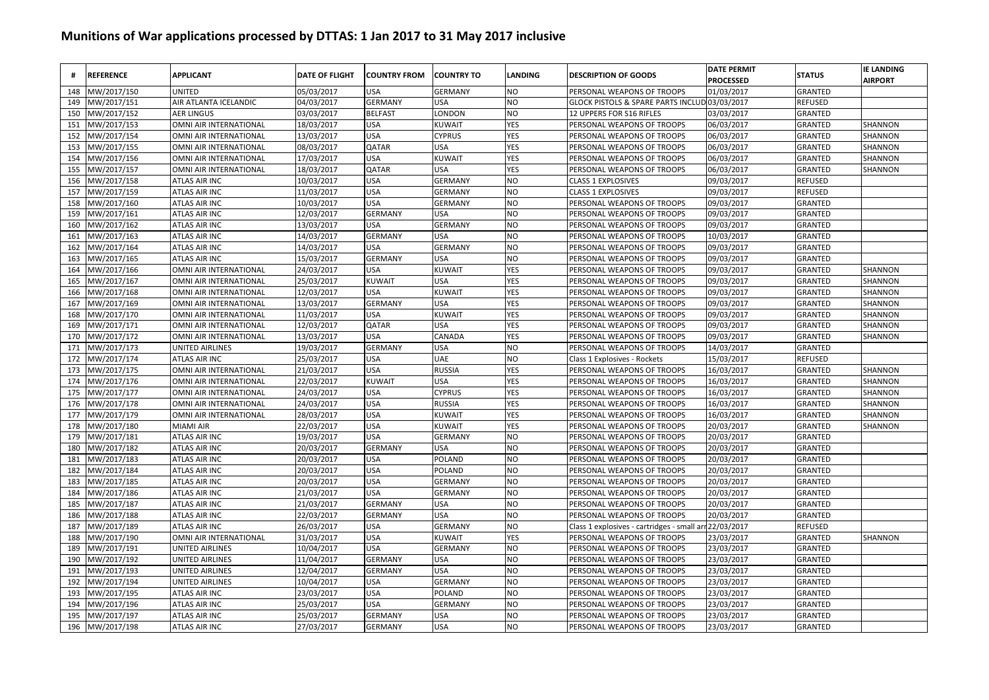| #   | <b>REFERENCE</b> | <b>APPLICANT</b>       | <b>DATE OF FLIGHT</b> | <b>COUNTRY FROM</b> | <b>COUNTRY TO</b> | <b>LANDING</b> | <b>DESCRIPTION OF GOODS</b>                   | <b>DATE PERMIT</b><br><b>PROCESSED</b> | <b>STATUS</b>  | <b>IE LANDING</b><br><b>AIRPORT</b> |
|-----|------------------|------------------------|-----------------------|---------------------|-------------------|----------------|-----------------------------------------------|----------------------------------------|----------------|-------------------------------------|
| 148 | MW/2017/150      | <b>UNITED</b>          | 05/03/2017            | <b>USA</b>          | <b>GERMANY</b>    | NO.            | PERSONAL WEAPONS OF TROOPS                    | 01/03/2017                             | GRANTED        |                                     |
| 149 | MW/2017/151      | AIR ATLANTA ICELANDIC  | 04/03/2017            | <b>GERMANY</b>      | <b>USA</b>        | <b>NO</b>      | GLOCK PISTOLS & SPARE PARTS INCLUD 03/03/2017 |                                        | <b>REFUSED</b> |                                     |
| 150 | MW/2017/152      | <b>AER LINGUS</b>      | 03/03/2017            | <b>BELFAST</b>      | LONDON            | <b>NO</b>      | 12 UPPERS FOR S16 RIFLES                      | 03/03/2017                             | GRANTED        |                                     |
| 151 | MW/2017/153      | OMNI AIR INTERNATIONAL | 18/03/2017            | <b>USA</b>          | <b>KUWAIT</b>     | YES            | PERSONAL WEAPONS OF TROOPS                    | 06/03/2017                             | GRANTED        | SHANNON                             |
| 152 | MW/2017/154      | OMNI AIR INTERNATIONAL | 13/03/2017            | <b>USA</b>          | <b>CYPRUS</b>     | YES            | PERSONAL WEAPONS OF TROOPS                    | 06/03/2017                             | GRANTED        | SHANNON                             |
| 153 | MW/2017/155      | OMNI AIR INTERNATIONAL | 08/03/2017            | <b>QATAR</b>        | <b>USA</b>        | YES            | PERSONAL WEAPONS OF TROOPS                    | 06/03/2017                             | GRANTED        | SHANNON                             |
| 154 | MW/2017/156      | OMNI AIR INTERNATIONAL | 17/03/2017            | <b>USA</b>          | <b>KUWAIT</b>     | YES            | PERSONAL WEAPONS OF TROOPS                    | 06/03/2017                             | GRANTED        | SHANNON                             |
| 155 | MW/2017/157      | OMNI AIR INTERNATIONAL | 18/03/2017            | QATAR               | USA               | YES            | PERSONAL WEAPONS OF TROOPS                    | 06/03/2017                             | <b>GRANTED</b> | SHANNON                             |
| 156 | MW/2017/158      | <b>ATLAS AIR INC</b>   | 10/03/2017            | <b>USA</b>          | <b>GERMANY</b>    | NO.            | <b>CLASS 1 EXPLOSIVES</b>                     | 09/03/2017                             | <b>REFUSED</b> |                                     |
| 157 | MW/2017/159      | <b>ATLAS AIR INC</b>   | 11/03/2017            | <b>USA</b>          | <b>GERMANY</b>    | NO             | <b>CLASS 1 EXPLOSIVES</b>                     | 09/03/2017                             | <b>REFUSED</b> |                                     |
| 158 | MW/2017/160      | <b>ATLAS AIR INC</b>   | 10/03/2017            | <b>USA</b>          | <b>GERMANY</b>    | <b>NO</b>      | PERSONAL WEAPONS OF TROOPS                    | 09/03/2017                             | <b>GRANTED</b> |                                     |
| 159 | MW/2017/161      | <b>ATLAS AIR INC</b>   | 12/03/2017            | <b>GERMANY</b>      | <b>USA</b>        | <b>NO</b>      | PERSONAL WEAPONS OF TROOPS                    | 09/03/2017                             | <b>GRANTED</b> |                                     |
| 160 | MW/2017/162      | ATLAS AIR INC          | 13/03/2017            | <b>USA</b>          | <b>GERMANY</b>    | <b>NO</b>      | PERSONAL WEAPONS OF TROOPS                    | 09/03/2017                             | GRANTED        |                                     |
| 161 | MW/2017/163      | <b>ATLAS AIR INC</b>   | 14/03/2017            | <b>GERMANY</b>      | <b>USA</b>        | NO             | PERSONAL WEAPONS OF TROOPS                    | 10/03/2017                             | GRANTED        |                                     |
| 162 | MW/2017/164      | <b>ATLAS AIR INC</b>   | 14/03/2017            | <b>USA</b>          | <b>GERMANY</b>    | N <sub>O</sub> | PERSONAL WEAPONS OF TROOPS                    | 09/03/2017                             | GRANTED        |                                     |
| 163 | MW/2017/165      | <b>ATLAS AIR INC</b>   | 15/03/2017            | <b>GERMANY</b>      | <b>USA</b>        | NO.            | PERSONAL WEAPONS OF TROOPS                    | 09/03/2017                             | GRANTED        |                                     |
| 164 | MW/2017/166      | OMNI AIR INTERNATIONAL | 24/03/2017            | <b>USA</b>          | <b>KUWAIT</b>     | YES            | PERSONAL WEAPONS OF TROOPS                    | 09/03/2017                             | GRANTED        | SHANNON                             |
| 165 | MW/2017/167      | OMNI AIR INTERNATIONAL | 25/03/2017            | <b>KUWAIT</b>       | <b>USA</b>        | <b>YES</b>     | PERSONAL WEAPONS OF TROOPS                    | 09/03/2017                             | GRANTED        | SHANNON                             |
| 166 | MW/2017/168      | OMNI AIR INTERNATIONAL | 12/03/2017            | <b>USA</b>          | <b>KUWAIT</b>     | <b>YES</b>     | PERSONAL WEAPONS OF TROOPS                    | 09/03/2017                             | GRANTED        | SHANNON                             |
| 167 | MW/2017/169      | OMNI AIR INTERNATIONAL | 13/03/2017            | <b>GERMANY</b>      | <b>USA</b>        | YES            | PERSONAL WEAPONS OF TROOPS                    | 09/03/2017                             | GRANTED        | SHANNON                             |
| 168 | MW/2017/170      | OMNI AIR INTERNATIONAL | 11/03/2017            | <b>USA</b>          | KUWAIT            | YES            | PERSONAL WEAPONS OF TROOPS                    | 09/03/2017                             | <b>GRANTED</b> | SHANNON                             |
| 169 | MW/2017/171      | OMNI AIR INTERNATIONAL | 12/03/2017            | QATAR               | <b>USA</b>        | YES            | PERSONAL WEAPONS OF TROOPS                    | 09/03/2017                             | GRANTED        | SHANNON                             |
| 170 | MW/2017/172      | OMNI AIR INTERNATIONAL | 13/03/2017            | <b>USA</b>          | CANADA            | YES            | PERSONAL WEAPONS OF TROOPS                    | 09/03/2017                             | <b>GRANTED</b> | SHANNON                             |
| 171 | MW/2017/173      | <b>UNITED AIRLINES</b> | 19/03/2017            | <b>GERMANY</b>      | <b>USA</b>        | NO             | PERSONAL WEAPONS OF TROOPS                    | 14/03/2017                             | GRANTED        |                                     |
| 172 | MW/2017/174      | <b>ATLAS AIR INC</b>   | 25/03/2017            | <b>USA</b>          | <b>UAE</b>        | NO             | Class 1 Explosives - Rockets                  | 15/03/2017                             | <b>REFUSED</b> |                                     |
| 173 | MW/2017/175      | OMNI AIR INTERNATIONAL | 21/03/2017            | <b>USA</b>          | <b>RUSSIA</b>     | YES            | PERSONAL WEAPONS OF TROOPS                    | 16/03/2017                             | <b>GRANTED</b> | SHANNON                             |
| 174 | MW/2017/176      | OMNI AIR INTERNATIONAL | 22/03/2017            | <b>KUWAIT</b>       | <b>USA</b>        | YES            | PERSONAL WEAPONS OF TROOPS                    | 16/03/2017                             | <b>GRANTED</b> | SHANNON                             |
| 175 | MW/2017/177      | OMNI AIR INTERNATIONAL | 24/03/2017            | <b>USA</b>          | <b>CYPRUS</b>     | YES            | PERSONAL WEAPONS OF TROOPS                    | 16/03/2017                             | GRANTED        | SHANNON                             |
| 176 | MW/2017/178      | OMNI AIR INTERNATIONAL | 24/03/2017            | <b>USA</b>          | <b>RUSSIA</b>     | YES            | PERSONAL WEAPONS OF TROOPS                    | 16/03/2017                             | <b>GRANTED</b> | SHANNON                             |
| 177 | MW/2017/179      | OMNI AIR INTERNATIONAL | 28/03/2017            | <b>USA</b>          | <b>KUWAIT</b>     | YES            | PERSONAL WEAPONS OF TROOPS                    | 16/03/2017                             | GRANTED        | SHANNON                             |
| 178 | MW/2017/180      | <b>MIAMI AIR</b>       | 22/03/2017            | <b>USA</b>          | <b>KUWAIT</b>     | <b>YES</b>     | PERSONAL WEAPONS OF TROOPS                    | 20/03/2017                             | GRANTED        | SHANNON                             |
| 179 | MW/2017/181      | <b>ATLAS AIR INC</b>   | 19/03/2017            | <b>USA</b>          | <b>GERMANY</b>    | NO             | PERSONAL WEAPONS OF TROOPS                    | 20/03/2017                             | GRANTED        |                                     |
| 180 | MW/2017/182      | <b>ATLAS AIR INC</b>   | 20/03/2017            | <b>GERMANY</b>      | <b>USA</b>        | NO             | PERSONAL WEAPONS OF TROOPS                    | 20/03/2017                             | GRANTED        |                                     |
| 181 | MW/2017/183      | <b>ATLAS AIR INC</b>   | 20/03/2017            | <b>USA</b>          | POLAND            | NO             | PERSONAL WEAPONS OF TROOPS                    | 20/03/2017                             | <b>GRANTED</b> |                                     |
| 182 | MW/2017/184      | <b>ATLAS AIR INC</b>   | 20/03/2017            | <b>USA</b>          | POLAND            | NO.            | PERSONAL WEAPONS OF TROOPS                    | 20/03/2017                             | <b>GRANTED</b> |                                     |
| 183 | MW/2017/185      | <b>ATLAS AIR INC</b>   | 20/03/2017            | <b>USA</b>          | <b>GERMANY</b>    | NO             | PERSONAL WEAPONS OF TROOPS                    | 20/03/2017                             | <b>GRANTED</b> |                                     |
| 184 | MW/2017/186      | <b>ATLAS AIR INC</b>   | 21/03/2017            | <b>USA</b>          | <b>GERMANY</b>    | NO             | PERSONAL WEAPONS OF TROOPS                    | 20/03/2017                             | <b>GRANTED</b> |                                     |
| 185 | MW/2017/187      | <b>ATLAS AIR INC</b>   | 21/03/2017            | <b>GERMANY</b>      | <b>USA</b>        | NO             | PERSONAL WEAPONS OF TROOPS                    | 20/03/2017                             | <b>GRANTED</b> |                                     |
| 186 | MW/2017/188      | <b>ATLAS AIR INC</b>   | 22/03/2017            | <b>GERMANY</b>      | <b>USA</b>        | NO             | PERSONAL WEAPONS OF TROOPS                    | 20/03/2017                             | <b>GRANTED</b> |                                     |
| 187 | MW/2017/189      | <b>ATLAS AIR INC</b>   | 26/03/2017            | <b>USA</b>          | <b>GERMANY</b>    | NO             | Class 1 explosives - cartridges - small ar    | 122/03/2017                            | <b>REFUSED</b> |                                     |
| 188 | MW/2017/190      | OMNI AIR INTERNATIONAL | 31/03/2017            | <b>USA</b>          | <b>KUWAIT</b>     | YES            | PERSONAL WEAPONS OF TROOPS                    | 23/03/2017                             | GRANTED        | SHANNON                             |
| 189 | MW/2017/191      | <b>UNITED AIRLINES</b> | 10/04/2017            | <b>USA</b>          | <b>GERMANY</b>    | NO             | PERSONAL WEAPONS OF TROOPS                    | 23/03/2017                             | GRANTED        |                                     |
| 190 | MW/2017/192      | <b>UNITED AIRLINES</b> | 11/04/2017            | <b>GERMANY</b>      | <b>USA</b>        | NO             | PERSONAL WEAPONS OF TROOPS                    | 23/03/2017                             | GRANTED        |                                     |
| 191 | MW/2017/193      | <b>UNITED AIRLINES</b> | 12/04/2017            | <b>GERMANY</b>      | <b>USA</b>        | NO             | PERSONAL WEAPONS OF TROOPS                    | 23/03/2017                             | <b>GRANTED</b> |                                     |
| 192 | MW/2017/194      | <b>UNITED AIRLINES</b> | 10/04/2017            | <b>USA</b>          | <b>GERMANY</b>    | NO             | PERSONAL WEAPONS OF TROOPS                    | 23/03/2017                             | <b>GRANTED</b> |                                     |
| 193 | MW/2017/195      | ATLAS AIR INC          | 23/03/2017            | <b>USA</b>          | POLAND            | NO             | PERSONAL WEAPONS OF TROOPS                    | 23/03/2017                             | <b>GRANTED</b> |                                     |
| 194 | MW/2017/196      | <b>ATLAS AIR INC</b>   | 25/03/2017            | <b>USA</b>          | <b>GERMANY</b>    | NO             | PERSONAL WEAPONS OF TROOPS                    | 23/03/2017                             | <b>GRANTED</b> |                                     |
| 195 | MW/2017/197      | <b>ATLAS AIR INC</b>   | 25/03/2017            | <b>GERMANY</b>      | <b>USA</b>        | NO             | PERSONAL WEAPONS OF TROOPS                    | 23/03/2017                             | GRANTED        |                                     |
| 196 | MW/2017/198      | <b>ATLAS AIR INC</b>   | 27/03/2017            | <b>GERMANY</b>      | <b>USA</b>        | NO             | PERSONAL WEAPONS OF TROOPS                    | 23/03/2017                             | <b>GRANTED</b> |                                     |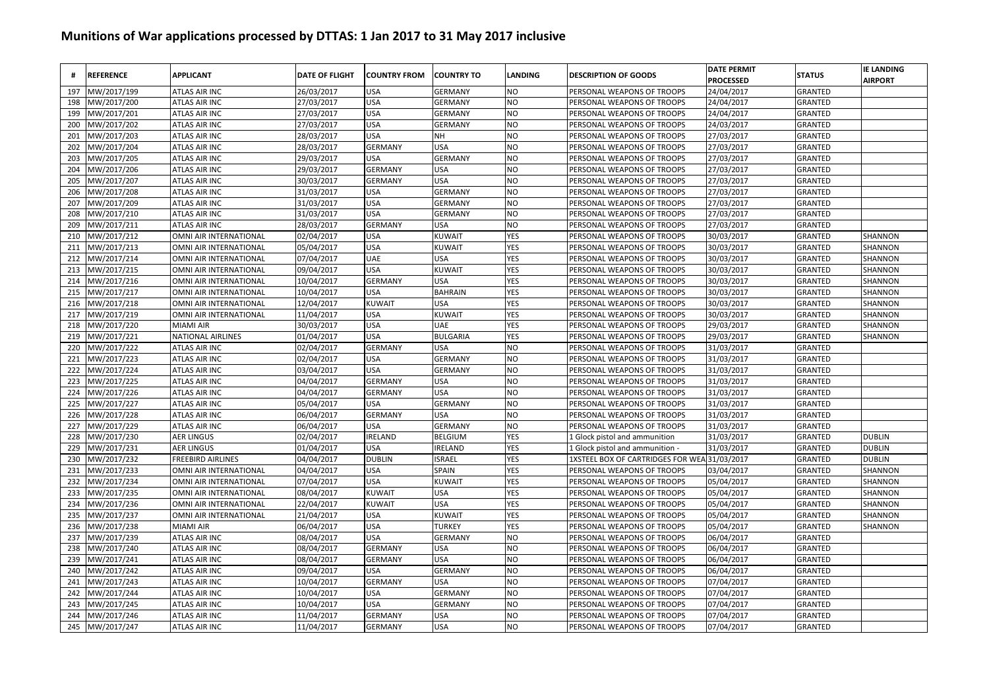| #   | <b>REFERENCE</b> | <b>APPLICANT</b>              | <b>DATE OF FLIGHT</b> | <b>COUNTRY FROM</b> | <b>COUNTRY TO</b> | LANDING    | <b>DESCRIPTION OF GOODS</b>                  | <b>DATE PERMIT</b><br><b>PROCESSED</b> | <b>STATUS</b>  | <b>IE LANDING</b><br><b>AIRPORT</b> |
|-----|------------------|-------------------------------|-----------------------|---------------------|-------------------|------------|----------------------------------------------|----------------------------------------|----------------|-------------------------------------|
| 197 | MW/2017/199      | <b>ATLAS AIR INC</b>          | 26/03/2017            | <b>USA</b>          | <b>GERMANY</b>    | NO         | PERSONAL WEAPONS OF TROOPS                   | 24/04/2017                             | <b>GRANTED</b> |                                     |
| 198 | MW/2017/200      | <b>ATLAS AIR INC</b>          | 27/03/2017            | <b>USA</b>          | <b>GERMANY</b>    | <b>NO</b>  | PERSONAL WEAPONS OF TROOPS                   | 24/04/2017                             | GRANTED        |                                     |
| 199 | MW/2017/201      | <b>ATLAS AIR INC</b>          | 27/03/2017            | <b>USA</b>          | <b>GERMANY</b>    | NO         | PERSONAL WEAPONS OF TROOPS                   | 24/04/2017                             | GRANTED        |                                     |
| 200 | MW/2017/202      | ATLAS AIR INC                 | 27/03/2017            | <b>USA</b>          | <b>GERMANY</b>    | NO         | PERSONAL WEAPONS OF TROOPS                   | 24/03/2017                             | GRANTED        |                                     |
| 201 | MW/2017/203      | ATLAS AIR INC                 | 28/03/2017            | <b>USA</b>          | NΗ                | NO         | PERSONAL WEAPONS OF TROOPS                   | 27/03/2017                             | GRANTED        |                                     |
| 202 | MW/2017/204      | <b>ATLAS AIR INC</b>          | 28/03/2017            | <b>GERMANY</b>      | <b>USA</b>        | NO         | PERSONAL WEAPONS OF TROOPS                   | 27/03/2017                             | GRANTED        |                                     |
| 203 | MW/2017/205      | <b>ATLAS AIR INC</b>          | 29/03/2017            | <b>USA</b>          | <b>GERMANY</b>    | NO         | PERSONAL WEAPONS OF TROOPS                   | 27/03/2017                             | GRANTED        |                                     |
| 204 | MW/2017/206      | <b>ATLAS AIR INC</b>          | 29/03/2017            | <b>GERMANY</b>      | <b>USA</b>        | NO         | PERSONAL WEAPONS OF TROOPS                   | 27/03/2017                             | <b>GRANTED</b> |                                     |
| 205 | MW/2017/207      | <b>ATLAS AIR INC</b>          | 30/03/2017            | <b>GERMANY</b>      | <b>USA</b>        | NO         | PERSONAL WEAPONS OF TROOPS                   | 27/03/2017                             | <b>GRANTED</b> |                                     |
| 206 | MW/2017/208      | <b>ATLAS AIR INC</b>          | 31/03/2017            | <b>USA</b>          | <b>GERMANY</b>    | NO         | PERSONAL WEAPONS OF TROOPS                   | 27/03/2017                             | <b>GRANTED</b> |                                     |
| 207 | MW/2017/209      | <b>ATLAS AIR INC</b>          | 31/03/2017            | <b>USA</b>          | <b>GERMANY</b>    | NO         | PERSONAL WEAPONS OF TROOPS                   | 27/03/2017                             | <b>GRANTED</b> |                                     |
| 208 | MW/2017/210      | <b>ATLAS AIR INC</b>          | 31/03/2017            | <b>USA</b>          | <b>GERMANY</b>    | NO         | PERSONAL WEAPONS OF TROOPS                   | 27/03/2017                             | <b>GRANTED</b> |                                     |
| 209 | MW/2017/211      | <b>ATLAS AIR INC</b>          | 28/03/2017            | <b>GERMANY</b>      | <b>USA</b>        | NO         | PERSONAL WEAPONS OF TROOPS                   | 27/03/2017                             | GRANTED        |                                     |
| 210 | MW/2017/212      | OMNI AIR INTERNATIONAL        | 02/04/2017            | <b>USA</b>          | <b>KUWAIT</b>     | YES        | PERSONAL WEAPONS OF TROOPS                   | 30/03/2017                             | <b>GRANTED</b> | SHANNON                             |
| 211 | MW/2017/213      | OMNI AIR INTERNATIONAL        | 05/04/2017            | <b>USA</b>          | <b>KUWAIT</b>     | YES        | PERSONAL WEAPONS OF TROOPS                   | 30/03/2017                             | GRANTED        | SHANNON                             |
| 212 | MW/2017/214      | OMNI AIR INTERNATIONAL        | 07/04/2017            | <b>UAE</b>          | <b>USA</b>        | YES        | PERSONAL WEAPONS OF TROOPS                   | 30/03/2017                             | GRANTED        | SHANNON                             |
| 213 | MW/2017/215      | OMNI AIR INTERNATIONAL        | 09/04/2017            | <b>USA</b>          | KUWAIT            | YES        | PERSONAL WEAPONS OF TROOPS                   | 30/03/2017                             | GRANTED        | SHANNON                             |
| 214 | MW/2017/216      | OMNI AIR INTERNATIONAL        | 10/04/2017            | <b>GERMANY</b>      | <b>USA</b>        | YES        | PERSONAL WEAPONS OF TROOPS                   | 30/03/2017                             | <b>GRANTED</b> | SHANNON                             |
| 215 | MW/2017/217      | OMNI AIR INTERNATIONAL        | 10/04/2017            | <b>USA</b>          | <b>BAHRAIN</b>    | YES        | PERSONAL WEAPONS OF TROOPS                   | 30/03/2017                             | <b>GRANTED</b> | SHANNON                             |
| 216 | MW/2017/218      | OMNI AIR INTERNATIONAL        | 12/04/2017            | <b>KUWAIT</b>       | <b>USA</b>        | YES        | PERSONAL WEAPONS OF TROOPS                   | 30/03/2017                             | <b>GRANTED</b> | SHANNON                             |
| 217 | MW/2017/219      | OMNI AIR INTERNATIONAL        | 11/04/2017            | <b>USA</b>          | <b>KUWAIT</b>     | YES        | PERSONAL WEAPONS OF TROOPS                   | 30/03/2017                             | GRANTED        | SHANNON                             |
| 218 | MW/2017/220      | <b>MIAMI AIR</b>              | 30/03/2017            | <b>USA</b>          | UAE               | <b>YES</b> | PERSONAL WEAPONS OF TROOPS                   | 29/03/2017                             | <b>GRANTED</b> | SHANNON                             |
| 219 | MW/2017/221      | <b>NATIONAL AIRLINES</b>      | 01/04/2017            | <b>USA</b>          | <b>BULGARIA</b>   | <b>YES</b> | PERSONAL WEAPONS OF TROOPS                   | 29/03/2017                             | <b>GRANTED</b> | SHANNON                             |
| 220 | MW/2017/222      | <b>ATLAS AIR INC</b>          | 02/04/2017            | <b>GERMANY</b>      | <b>USA</b>        | NO         | PERSONAL WEAPONS OF TROOPS                   | 31/03/2017                             | <b>GRANTED</b> |                                     |
| 221 | MW/2017/223      | <b>ATLAS AIR INC</b>          | 02/04/2017            | <b>USA</b>          | <b>GERMANY</b>    | NO         | PERSONAL WEAPONS OF TROOPS                   | 31/03/2017                             | GRANTED        |                                     |
| 222 | MW/2017/224      | <b>ATLAS AIR INC</b>          | 03/04/2017            | <b>USA</b>          | <b>GERMANY</b>    | NO         | PERSONAL WEAPONS OF TROOPS                   | 31/03/2017                             | GRANTED        |                                     |
| 223 | MW/2017/225      | <b>ATLAS AIR INC</b>          | 04/04/2017            | <b>GERMANY</b>      | <b>USA</b>        | NO         | PERSONAL WEAPONS OF TROOPS                   | 31/03/2017                             | GRANTED        |                                     |
| 224 | MW/2017/226      | <b>ATLAS AIR INC</b>          | 04/04/2017            | <b>GERMANY</b>      | <b>USA</b>        | NO         | PERSONAL WEAPONS OF TROOPS                   | 31/03/2017                             | GRANTED        |                                     |
| 225 | MW/2017/227      | ATLAS AIR INC                 | 05/04/2017            | <b>USA</b>          | <b>GERMANY</b>    | NO         | PERSONAL WEAPONS OF TROOPS                   | 31/03/2017                             | GRANTED        |                                     |
| 226 | MW/2017/228      | <b>ATLAS AIR INC</b>          | 06/04/2017            | <b>GERMANY</b>      | <b>USA</b>        | NO         | PERSONAL WEAPONS OF TROOPS                   | 31/03/2017                             | <b>GRANTED</b> |                                     |
| 227 | MW/2017/229      | <b>ATLAS AIR INC</b>          | 06/04/2017            | <b>USA</b>          | <b>GERMANY</b>    | NO         | PERSONAL WEAPONS OF TROOPS                   | 31/03/2017                             | <b>GRANTED</b> |                                     |
| 228 | MW/2017/230      | <b>AER LINGUS</b>             | 02/04/2017            | <b>IRELAND</b>      | <b>BELGIUM</b>    | YES        | 1 Glock pistol and ammunition                | 31/03/2017                             | <b>GRANTED</b> | <b>DUBLIN</b>                       |
| 229 | MW/2017/231      | <b>AER LINGUS</b>             | 01/04/2017            | <b>USA</b>          | RELAND            | <b>YES</b> | 1 Glock pistol and ammunition -              | 31/03/2017                             | <b>GRANTED</b> | <b>DUBLIN</b>                       |
| 230 | MW/2017/232      | <b>FREEBIRD AIRLINES</b>      | 04/04/2017            | <b>DUBLIN</b>       | <b>ISRAEL</b>     | YES        | 1XSTEEL BOX OF CARTRIDGES FOR WEA 31/03/2017 |                                        | GRANTED        | <b>DUBLIN</b>                       |
| 231 | MW/2017/233      | OMNI AIR INTERNATIONAL        | 04/04/2017            | <b>USA</b>          | <b>SPAIN</b>      | <b>YES</b> | PERSONAL WEAPONS OF TROOPS                   | 03/04/2017                             | <b>GRANTED</b> | SHANNON                             |
| 232 | MW/2017/234      | <b>OMNI AIR INTERNATIONAL</b> | 07/04/2017            | <b>USA</b>          | <b>KUWAIT</b>     | YES        | PERSONAL WEAPONS OF TROOPS                   | 05/04/2017                             | <b>GRANTED</b> | SHANNON                             |
| 233 | MW/2017/235      | OMNI AIR INTERNATIONAL        | 08/04/2017            | <b>KUWAIT</b>       | <b>USA</b>        | YES        | PERSONAL WEAPONS OF TROOPS                   | 05/04/2017                             | <b>GRANTED</b> | SHANNON                             |
| 234 | MW/2017/236      | OMNI AIR INTERNATIONAL        | 22/04/2017            | <b>KUWAIT</b>       | <b>USA</b>        | YES        | PERSONAL WEAPONS OF TROOPS                   | 05/04/2017                             | GRANTED        | SHANNON                             |
| 235 | MW/2017/237      | OMNI AIR INTERNATIONAL        | 21/04/2017            | <b>USA</b>          | <b>KUWAIT</b>     | YES        | PERSONAL WEAPONS OF TROOPS                   | 05/04/2017                             | GRANTED        | SHANNON                             |
| 236 | MW/2017/238      | <b>MIAMI AIR</b>              | 06/04/2017            | <b>USA</b>          | <b>TURKEY</b>     | YES        | PERSONAL WEAPONS OF TROOPS                   | 05/04/2017                             | GRANTED        | SHANNON                             |
| 237 | MW/2017/239      | <b>ATLAS AIR INC</b>          | 08/04/2017            | <b>USA</b>          | <b>GERMANY</b>    | NO         | PERSONAL WEAPONS OF TROOPS                   | 06/04/2017                             | GRANTED        |                                     |
| 238 | MW/2017/240      | ATLAS AIR INC                 | 08/04/2017            | <b>GERMANY</b>      | <b>USA</b>        | NO         | PERSONAL WEAPONS OF TROOPS                   | 06/04/2017                             | <b>GRANTED</b> |                                     |
| 239 | MW/2017/241      | ATLAS AIR INC                 | 08/04/2017            | <b>GERMANY</b>      | <b>USA</b>        | NO         | PERSONAL WEAPONS OF TROOPS                   | 06/04/2017                             | <b>GRANTED</b> |                                     |
| 240 | MW/2017/242      | ATLAS AIR INC                 | 09/04/2017            | <b>USA</b>          | <b>GERMANY</b>    | NO         | PERSONAL WEAPONS OF TROOPS                   | 06/04/2017                             | GRANTED        |                                     |
| 241 | MW/2017/243      | ATLAS AIR INC                 | 10/04/2017            | <b>GERMANY</b>      | <b>USA</b>        | NO         | PERSONAL WEAPONS OF TROOPS                   | 07/04/2017                             | GRANTED        |                                     |
| 242 | VIW/2017/244     | ATLAS AIR INC                 | 10/04/2017            | <b>USA</b>          | <b>GERMANY</b>    | NO         | PERSONAL WEAPONS OF TROOPS                   | 07/04/2017                             | GRANTED        |                                     |
| 243 | MW/2017/245      | <b>ATLAS AIR INC</b>          | 10/04/2017            | <b>USA</b>          | <b>GERMANY</b>    | NO         | PERSONAL WEAPONS OF TROOPS                   | 07/04/2017                             | GRANTED        |                                     |
| 244 | MW/2017/246      | <b>ATLAS AIR INC</b>          | 11/04/2017            | <b>GERMANY</b>      | <b>USA</b>        | NO         | PERSONAL WEAPONS OF TROOPS                   | 07/04/2017                             | <b>GRANTED</b> |                                     |
| 245 | MW/2017/247      | ATLAS AIR INC                 | 11/04/2017            | <b>GERMANY</b>      | <b>USA</b>        | NO         | PERSONAL WEAPONS OF TROOPS                   | 07/04/2017                             | <b>GRANTED</b> |                                     |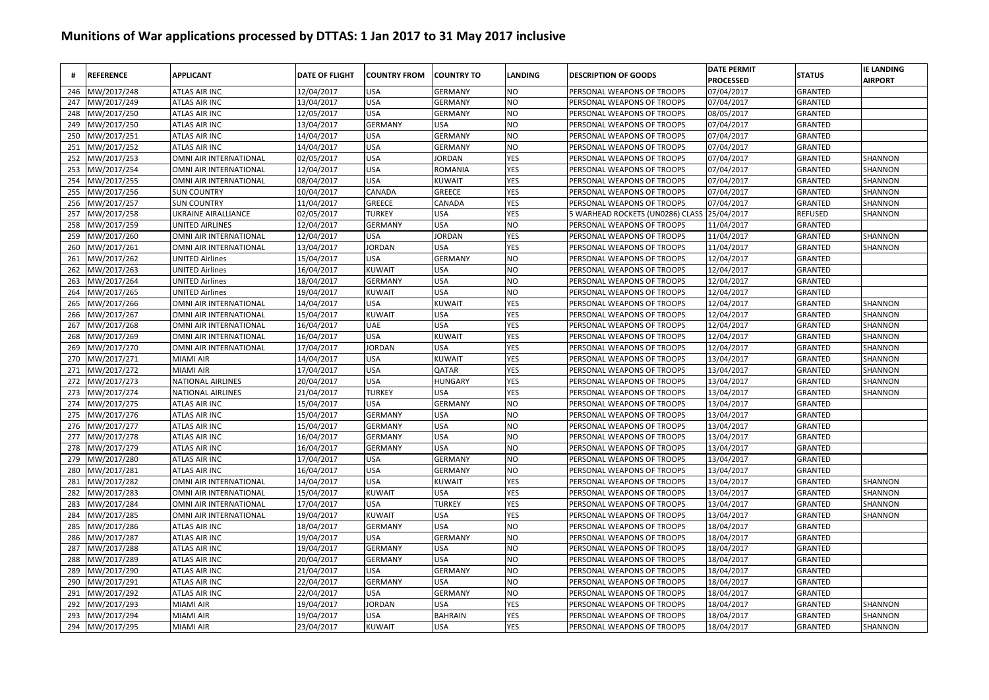| #   | <b>REFERENCE</b> | <b>APPLICANT</b>         | <b>DATE OF FLIGHT</b> | <b>COUNTRY FROM</b> | <b>COUNTRY TO</b> | LANDING | <b>DESCRIPTION OF GOODS</b>      | <b>DATE PERMIT</b><br><b>PROCESSED</b> | <b>STATUS</b>  | <b>IE LANDING</b><br><b>AIRPORT</b> |
|-----|------------------|--------------------------|-----------------------|---------------------|-------------------|---------|----------------------------------|----------------------------------------|----------------|-------------------------------------|
| 246 | MW/2017/248      | <b>ATLAS AIR INC</b>     | 12/04/2017            | <b>USA</b>          | <b>GERMANY</b>    | NO      | PERSONAL WEAPONS OF TROOPS       | 07/04/2017                             | <b>GRANTED</b> |                                     |
| 247 | MW/2017/249      | <b>ATLAS AIR INC</b>     | 13/04/2017            | <b>USA</b>          | <b>GERMANY</b>    | NO      | PERSONAL WEAPONS OF TROOPS       | 07/04/2017                             | GRANTED        |                                     |
| 248 | MW/2017/250      | ATLAS AIR INC            | 12/05/2017            | <b>USA</b>          | <b>GERMANY</b>    | ΝO      | PERSONAL WEAPONS OF TROOPS       | 08/05/2017                             | GRANTED        |                                     |
| 249 | MW/2017/250      | ATLAS AIR INC            | 13/04/2017            | <b>GERMANY</b>      | <b>USA</b>        | NO      | PERSONAL WEAPONS OF TROOPS       | 07/04/2017                             | GRANTED        |                                     |
| 250 | MW/2017/251      | ATLAS AIR INC            | 14/04/2017            | <b>USA</b>          | <b>GERMANY</b>    | NO      | PERSONAL WEAPONS OF TROOPS       | 07/04/2017                             | GRANTED        |                                     |
| 251 | MW/2017/252      | ATLAS AIR INC            | 14/04/2017            | <b>USA</b>          | <b>GERMANY</b>    | ΝO      | PERSONAL WEAPONS OF TROOPS       | 07/04/2017                             | GRANTED        |                                     |
| 252 | MW/2017/253      | OMNI AIR INTERNATIONAL   | 02/05/2017            | <b>USA</b>          | <b>JORDAN</b>     | YES     | PERSONAL WEAPONS OF TROOPS       | 07/04/2017                             | <b>GRANTED</b> | SHANNON                             |
| 253 | MW/2017/254      | OMNI AIR INTERNATIONAL   | 12/04/2017            | <b>USA</b>          | ROMANIA           | YES     | PERSONAL WEAPONS OF TROOPS       | 07/04/2017                             | <b>GRANTED</b> | <b>SHANNON</b>                      |
| 254 | MW/2017/255      | OMNI AIR INTERNATIONAL   | 08/04/2017            | <b>USA</b>          | <b>KUWAIT</b>     | YES     | PERSONAL WEAPONS OF TROOPS       | 07/04/2017                             | GRANTED        | SHANNON                             |
| 255 | MW/2017/256      | <b>SUN COUNTRY</b>       | 10/04/2017            | CANADA              | <b>GREECE</b>     | YES     | PERSONAL WEAPONS OF TROOPS       | 07/04/2017                             | <b>GRANTED</b> | SHANNON                             |
| 256 | MW/2017/257      | <b>SUN COUNTRY</b>       | 11/04/2017            | <b>GREECE</b>       | CANADA            | YES     | PERSONAL WEAPONS OF TROOPS       | 07/04/2017                             | <b>GRANTED</b> | SHANNON                             |
| 257 | MW/2017/258      | UKRAINE AIRALLIANCE      | 02/05/2017            | <b>TURKEY</b>       | <b>USA</b>        | YES     | 5 WARHEAD ROCKETS (UN0286) CLASS | 25/04/2017                             | <b>REFUSED</b> | SHANNON                             |
| 258 | MW/2017/259      | <b>UNITED AIRLINES</b>   | 12/04/2017            | <b>GERMANY</b>      | <b>USA</b>        | ΝO      | PERSONAL WEAPONS OF TROOPS       | 11/04/2017                             | GRANTED        |                                     |
| 259 | MW/2017/260      | OMNI AIR INTERNATIONAL   | 12/04/2017            | <b>USA</b>          | JORDAN            | YES     | PERSONAL WEAPONS OF TROOPS       | 11/04/2017                             | <b>GRANTED</b> | SHANNON                             |
| 260 | MW/2017/261      | OMNI AIR INTERNATIONAL   | 13/04/2017            | <b>JORDAN</b>       | <b>USA</b>        | YES     | PERSONAL WEAPONS OF TROOPS       | 11/04/2017                             | GRANTED        | SHANNON                             |
| 261 | MW/2017/262      | <b>UNITED Airlines</b>   | 15/04/2017            | <b>USA</b>          | <b>GERMANY</b>    | ΝO      | PERSONAL WEAPONS OF TROOPS       | 12/04/2017                             | GRANTED        |                                     |
| 262 | MW/2017/263      | <b>UNITED Airlines</b>   | 16/04/2017            | <b>KUWAIT</b>       | <b>USA</b>        | NO      | PERSONAL WEAPONS OF TROOPS       | 12/04/2017                             | GRANTED        |                                     |
| 263 | MW/2017/264      | <b>UNITED Airlines</b>   | 18/04/2017            | <b>GERMANY</b>      | <b>USA</b>        | NO      | PERSONAL WEAPONS OF TROOPS       | 12/04/2017                             | <b>GRANTED</b> |                                     |
| 264 | MW/2017/265      | <b>UNITED Airlines</b>   | 19/04/2017            | <b>KUWAIT</b>       | <b>USA</b>        | NO      | PERSONAL WEAPONS OF TROOPS       | 12/04/2017                             | <b>GRANTED</b> |                                     |
| 265 | MW/2017/266      | OMNI AIR INTERNATIONAL   | 14/04/2017            | <b>USA</b>          | <b>KUWAIT</b>     | YES     | PERSONAL WEAPONS OF TROOPS       | 12/04/2017                             | <b>GRANTED</b> | SHANNON                             |
| 266 | MW/2017/267      | OMNI AIR INTERNATIONAL   | 15/04/2017            | <b>KUWAIT</b>       | <b>USA</b>        | YES     | PERSONAL WEAPONS OF TROOPS       | 12/04/2017                             | GRANTED        | SHANNON                             |
| 267 | MW/2017/268      | OMNI AIR INTERNATIONAL   | 16/04/2017            | <b>UAE</b>          | <b>USA</b>        | YES     | PERSONAL WEAPONS OF TROOPS       | 12/04/2017                             | <b>GRANTED</b> | SHANNON                             |
| 268 | MW/2017/269      | OMNI AIR INTERNATIONAL   | 16/04/2017            | <b>USA</b>          | <b>KUWAIT</b>     | YES     | PERSONAL WEAPONS OF TROOPS       | 12/04/2017                             | <b>GRANTED</b> | SHANNON                             |
| 269 | MW/2017/270      | OMNI AIR INTERNATIONAL   | 17/04/2017            | <b>JORDAN</b>       | <b>USA</b>        | YES     | PERSONAL WEAPONS OF TROOPS       | 12/04/2017                             | <b>GRANTED</b> | SHANNON                             |
| 270 | MW/2017/271      | <b>MIAMI AIR</b>         | 14/04/2017            | <b>USA</b>          | <b>KUWAIT</b>     | YES     | PERSONAL WEAPONS OF TROOPS       | 13/04/2017                             | <b>GRANTED</b> | SHANNON                             |
| 271 | MW/2017/272      | MIAMI AIR                | 17/04/2017            | <b>USA</b>          | QATAR             | YES     | PERSONAL WEAPONS OF TROOPS       | 13/04/2017                             | GRANTED        | SHANNON                             |
| 272 | MW/2017/273      | <b>NATIONAL AIRLINES</b> | 20/04/2017            | <b>USA</b>          | HUNGARY           | YES     | PERSONAL WEAPONS OF TROOPS       | 13/04/2017                             | GRANTED        | SHANNON                             |
| 273 | MW/2017/274      | <b>NATIONAL AIRLINES</b> | 21/04/2017            | <b>TURKEY</b>       | <b>USA</b>        | YES     | PERSONAL WEAPONS OF TROOPS       | 13/04/2017                             | GRANTED        | SHANNON                             |
| 274 | MW/2017/275      | ATLAS AIR INC            | 15/04/2017            | <b>USA</b>          | <b>GERMANY</b>    | ΝO      | PERSONAL WEAPONS OF TROOPS       | 13/04/2017                             | GRANTED        |                                     |
| 275 | MW/2017/276      | <b>ATLAS AIR INC</b>     | 15/04/2017            | <b>GERMANY</b>      | <b>USA</b>        | NO      | PERSONAL WEAPONS OF TROOPS       | 13/04/2017                             | <b>GRANTED</b> |                                     |
| 276 | MW/2017/277      | <b>ATLAS AIR INC</b>     | 15/04/2017            | <b>GERMANY</b>      | <b>USA</b>        | NO      | PERSONAL WEAPONS OF TROOPS       | 13/04/2017                             | <b>GRANTED</b> |                                     |
| 277 | MW/2017/278      | <b>ATLAS AIR INC</b>     | 16/04/2017            | <b>GERMANY</b>      | <b>USA</b>        | NΟ      | PERSONAL WEAPONS OF TROOPS       | 13/04/2017                             | <b>GRANTED</b> |                                     |
| 278 | MW/2017/279      | <b>ATLAS AIR INC</b>     | 16/04/2017            | <b>GERMANY</b>      | <b>USA</b>        | NO      | PERSONAL WEAPONS OF TROOPS       | 13/04/2017                             | <b>GRANTED</b> |                                     |
| 279 | MW/2017/280      | <b>ATLAS AIR INC</b>     | 17/04/2017            | <b>USA</b>          | <b>GERMANY</b>    | NΟ      | PERSONAL WEAPONS OF TROOPS       | 13/04/2017                             | GRANTED        |                                     |
| 280 | MW/2017/281      | <b>ATLAS AIR INC</b>     | 16/04/2017            | <b>USA</b>          | <b>GERMANY</b>    | NO      | PERSONAL WEAPONS OF TROOPS       | 13/04/2017                             | <b>GRANTED</b> |                                     |
| 281 | MW/2017/282      | OMNI AIR INTERNATIONAL   | 14/04/2017            | <b>USA</b>          | <b>KUWAIT</b>     | YES     | PERSONAL WEAPONS OF TROOPS       | 13/04/2017                             | <b>GRANTED</b> | SHANNON                             |
| 282 | MW/2017/283      | OMNI AIR INTERNATIONAL   | 15/04/2017            | <b>KUWAIT</b>       | USA               | YES     | PERSONAL WEAPONS OF TROOPS       | 13/04/2017                             | GRANTED        | SHANNON                             |
| 283 | MW/2017/284      | OMNI AIR INTERNATIONAL   | 17/04/2017            | <b>USA</b>          | <b>TURKEY</b>     | YES     | PERSONAL WEAPONS OF TROOPS       | 13/04/2017                             | GRANTED        | SHANNON                             |
| 284 | MW/2017/285      | OMNI AIR INTERNATIONAL   | 19/04/2017            | <b>KUWAIT</b>       | <b>USA</b>        | YES     | PERSONAL WEAPONS OF TROOPS       | 13/04/2017                             | GRANTED        | SHANNON                             |
| 285 | MW/2017/286      | <b>ATLAS AIR INC</b>     | 18/04/2017            | <b>GERMANY</b>      | <b>USA</b>        | ΝO      | PERSONAL WEAPONS OF TROOPS       | 18/04/2017                             | GRANTED        |                                     |
| 286 | MW/2017/287      | ATLAS AIR INC            | 19/04/2017            | <b>USA</b>          | <b>GERMANY</b>    | NΟ      | PERSONAL WEAPONS OF TROOPS       | 18/04/2017                             | GRANTED        |                                     |
| 287 | MW/2017/288      | ATLAS AIR INC            | 19/04/2017            | <b>GERMANY</b>      | <b>USA</b>        | NO      | PERSONAL WEAPONS OF TROOPS       | 18/04/2017                             | <b>GRANTED</b> |                                     |
| 288 | MW/2017/289      | ATLAS AIR INC            | 20/04/2017            | <b>GERMANY</b>      | <b>USA</b>        | NO      | PERSONAL WEAPONS OF TROOPS       | 18/04/2017                             | <b>GRANTED</b> |                                     |
| 289 | MW/2017/290      | ATLAS AIR INC            | 21/04/2017            | <b>USA</b>          | <b>GERMANY</b>    | NΟ      | PERSONAL WEAPONS OF TROOPS       | 18/04/2017                             | <b>GRANTED</b> |                                     |
| 290 | MW/2017/291      | ATLAS AIR INC            | 22/04/2017            | <b>GERMANY</b>      | <b>USA</b>        | NΟ      | PERSONAL WEAPONS OF TROOPS       | 18/04/2017                             | GRANTED        |                                     |
| 291 | MW/2017/292      | ATLAS AIR INC            | 22/04/2017            | <b>USA</b>          | <b>GERMANY</b>    | NO      | PERSONAL WEAPONS OF TROOPS       | 18/04/2017                             | GRANTED        |                                     |
| 292 | MW/2017/293      | <b>MIAMI AIR</b>         | 19/04/2017            | <b>JORDAN</b>       | USA               | YES     | PERSONAL WEAPONS OF TROOPS       | 18/04/2017                             | GRANTED        | SHANNON                             |
| 293 | MW/2017/294      | <b>MIAMI AIR</b>         | 19/04/2017            | <b>USA</b>          | <b>BAHRAIN</b>    | YES     | PERSONAL WEAPONS OF TROOPS       | 18/04/2017                             | GRANTED        | SHANNON                             |
| 294 | MW/2017/295      | MIAMI AIR                | 23/04/2017            | <b>KUWAIT</b>       | <b>USA</b>        | YES     | PERSONAL WEAPONS OF TROOPS       | 18/04/2017                             | GRANTED        | SHANNON                             |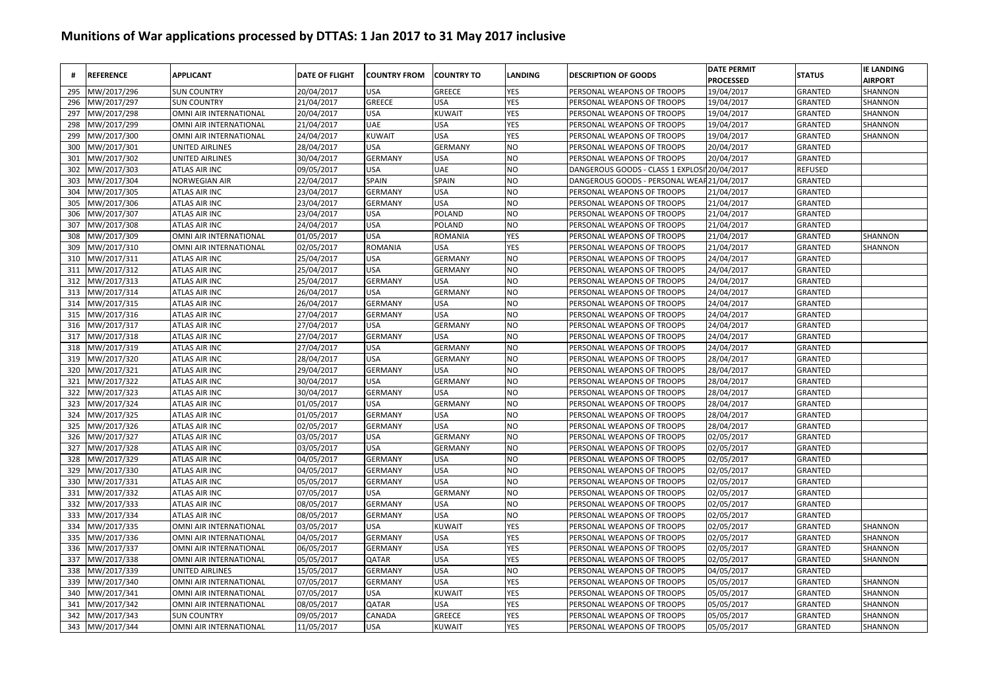|     | <b>REFERENCE</b> | <b>APPLICANT</b>       | <b>DATE OF FLIGHT</b> | <b>COUNTRY FROM</b> | <b>COUNTRY TO</b> | <b>LANDING</b> | <b>DESCRIPTION OF GOODS</b>                | <b>DATE PERMIT</b><br><b>PROCESSED</b> | <b>STATUS</b>  | <b>IE LANDING</b><br><b>AIRPORT</b> |
|-----|------------------|------------------------|-----------------------|---------------------|-------------------|----------------|--------------------------------------------|----------------------------------------|----------------|-------------------------------------|
| 295 | MW/2017/296      | <b>SUN COUNTRY</b>     | 20/04/2017            | USA                 | <b>GREECE</b>     | YES            | PERSONAL WEAPONS OF TROOPS                 | 19/04/2017                             | GRANTED        | SHANNON                             |
| 296 | MW/2017/297      | <b>SUN COUNTRY</b>     | 21/04/2017            | GREECE              | <b>USA</b>        | YES            | PERSONAL WEAPONS OF TROOPS                 | 19/04/2017                             | GRANTED        | SHANNON                             |
| 297 | MW/2017/298      | OMNI AIR INTERNATIONAL | 20/04/2017            | USA                 | <b>KUWAIT</b>     | YES            | PERSONAL WEAPONS OF TROOPS                 | 19/04/2017                             | GRANTED        | SHANNON                             |
| 298 | MW/2017/299      | OMNI AIR INTERNATIONAL | 21/04/2017            | UAE                 | <b>USA</b>        | YES            | PERSONAL WEAPONS OF TROOPS                 | 19/04/2017                             | GRANTED        | SHANNON                             |
| 299 | MW/2017/300      | OMNI AIR INTERNATIONAL | 24/04/2017            | KUWAIT              | <b>USA</b>        | <b>YES</b>     | PERSONAL WEAPONS OF TROOPS                 | 19/04/2017                             | GRANTED        | SHANNON                             |
| 300 | MW/2017/301      | UNITED AIRLINES        | 28/04/2017            | USA                 | <b>GERMANY</b>    | NO             | PERSONAL WEAPONS OF TROOPS                 | 20/04/2017                             | GRANTED        |                                     |
| 301 | MW/2017/302      | UNITED AIRLINES        | 30/04/2017            | GERMANY             | <b>USA</b>        | NO             | PERSONAL WEAPONS OF TROOPS                 | 20/04/2017                             | GRANTED        |                                     |
| 302 | MW/2017/303      | ATLAS AIR INC          | 09/05/2017            | USA                 | <b>UAE</b>        | NO             | DANGEROUS GOODS - CLASS 1 EXPLOS           | 20/04/2017                             | REFUSED        |                                     |
| 303 | MW/2017/304      | <b>NORWEGIAN AIR</b>   | 22/04/2017            | SPAIN               | <b>SPAIN</b>      | NO             | DANGEROUS GOODS - PERSONAL WEAR 21/04/2017 |                                        | GRANTED        |                                     |
| 304 | MW/2017/305      | <b>ATLAS AIR INC</b>   | 23/04/2017            | <b>GERMANY</b>      | <b>USA</b>        | N <sub>O</sub> | PERSONAL WEAPONS OF TROOPS                 | 21/04/2017                             | GRANTED        |                                     |
| 305 | MW/2017/306      | <b>ATLAS AIR INC</b>   | 23/04/2017            | <b>GERMANY</b>      | <b>USA</b>        | N <sub>O</sub> | PERSONAL WEAPONS OF TROOPS                 | 21/04/2017                             | <b>GRANTED</b> |                                     |
| 306 | MW/2017/307      | <b>ATLAS AIR INC</b>   | 23/04/2017            | USA                 | <b>POLAND</b>     | NO             | PERSONAL WEAPONS OF TROOPS                 | 21/04/2017                             | <b>GRANTED</b> |                                     |
| 307 | MW/2017/308      | ATLAS AIR INC          | 24/04/2017            | USA                 | <b>POLAND</b>     | NO             | PERSONAL WEAPONS OF TROOPS                 | 21/04/2017                             | GRANTED        |                                     |
| 308 | MW/2017/309      | OMNI AIR INTERNATIONAL | 01/05/2017            | USA                 | <b>ROMANIA</b>    | YES            | PERSONAL WEAPONS OF TROOPS                 | 21/04/2017                             | GRANTED        | SHANNON                             |
| 309 | MW/2017/310      | OMNI AIR INTERNATIONAL | 02/05/2017            | ROMANIA             | <b>USA</b>        | YES            | PERSONAL WEAPONS OF TROOPS                 | 21/04/2017                             | GRANTED        | SHANNON                             |
| 310 | MW/2017/311      | <b>ATLAS AIR INC</b>   | 25/04/2017            | USA                 | <b>GERMANY</b>    | NO             | PERSONAL WEAPONS OF TROOPS                 | 24/04/2017                             | GRANTED        |                                     |
| 311 | MW/2017/312      | ATLAS AIR INC          | 25/04/2017            | USA                 | <b>GERMANY</b>    | NO             | PERSONAL WEAPONS OF TROOPS                 | 24/04/2017                             | GRANTED        |                                     |
| 312 | MW/2017/313      | ATLAS AIR INC          | 25/04/2017            | GERMANY             | <b>USA</b>        | NO             | PERSONAL WEAPONS OF TROOPS                 | 24/04/2017                             | GRANTED        |                                     |
| 313 | MW/2017/314      | <b>ATLAS AIR INC</b>   | 26/04/2017            | USA                 | <b>GERMANY</b>    | NO             | PERSONAL WEAPONS OF TROOPS                 | 24/04/2017                             | GRANTED        |                                     |
| 314 | MW/2017/315      | <b>ATLAS AIR INC</b>   | 26/04/2017            | GERMANY             | <b>USA</b>        | NO             | PERSONAL WEAPONS OF TROOPS                 | 24/04/2017                             | GRANTED        |                                     |
| 315 | MW/2017/316      | ATLAS AIR INC          | 27/04/2017            | <b>GERMANY</b>      | <b>USA</b>        | NO             | PERSONAL WEAPONS OF TROOPS                 | 24/04/2017                             | <b>GRANTED</b> |                                     |
| 316 | MW/2017/317      | ATLAS AIR INC          | 27/04/2017            | USA                 | <b>GERMANY</b>    | NO             | PERSONAL WEAPONS OF TROOPS                 | 24/04/2017                             | GRANTED        |                                     |
| 317 | MW/2017/318      | ATLAS AIR INC          | 27/04/2017            | <b>GERMANY</b>      | <b>USA</b>        | NO             | PERSONAL WEAPONS OF TROOPS                 | 24/04/2017                             | <b>GRANTED</b> |                                     |
| 318 | MW/2017/319      | <b>ATLAS AIR INC</b>   | 27/04/2017            | USA                 | <b>GERMANY</b>    | N <sub>O</sub> | PERSONAL WEAPONS OF TROOPS                 | 24/04/2017                             | <b>GRANTED</b> |                                     |
| 319 | MW/2017/320      | ATLAS AIR INC          | 28/04/2017            | USA                 | <b>GERMANY</b>    | NO             | PERSONAL WEAPONS OF TROOPS                 | 28/04/2017                             | <b>GRANTED</b> |                                     |
| 320 | MW/2017/321      | <b>ATLAS AIR INC</b>   | 29/04/2017            | <b>GERMANY</b>      | <b>USA</b>        | NO             | PERSONAL WEAPONS OF TROOPS                 | 28/04/2017                             | <b>GRANTED</b> |                                     |
| 321 | MW/2017/322      | ATLAS AIR INC          | 30/04/2017            | USA                 | <b>GERMANY</b>    | NO.            | PERSONAL WEAPONS OF TROOPS                 | 28/04/2017                             | <b>GRANTED</b> |                                     |
| 322 | MW/2017/323      | ATLAS AIR INC          | 30/04/2017            | GERMANY             | <b>USA</b>        | NO             | PERSONAL WEAPONS OF TROOPS                 | 28/04/2017                             | GRANTED        |                                     |
| 323 | MW/2017/324      | ATLAS AIR INC          | 01/05/2017            | USA                 | <b>GERMANY</b>    | NO             | PERSONAL WEAPONS OF TROOPS                 | 28/04/2017                             | GRANTED        |                                     |
| 324 | MW/2017/325      | <b>ATLAS AIR INC</b>   | 01/05/2017            | GERMANY             | <b>USA</b>        | NO             | PERSONAL WEAPONS OF TROOPS                 | 28/04/2017                             | GRANTED        |                                     |
| 325 | MW/2017/326      | <b>ATLAS AIR INC</b>   | 02/05/2017            | GERMANY             | <b>USA</b>        | NO             | PERSONAL WEAPONS OF TROOPS                 | 28/04/2017                             | GRANTED        |                                     |
| 326 | MW/2017/327      | <b>ATLAS AIR INC</b>   | 03/05/2017            | USA                 | <b>GERMANY</b>    | NΟ             | PERSONAL WEAPONS OF TROOPS                 | 02/05/2017                             | GRANTED        |                                     |
| 327 | MW/2017/328      | <b>ATLAS AIR INC</b>   | 03/05/2017            | USA                 | <b>GERMANY</b>    | NΟ             | PERSONAL WEAPONS OF TROOPS                 | 02/05/2017                             | GRANTED        |                                     |
| 328 | MW/2017/329      | ATLAS AIR INC          | 04/05/2017            | <b>GERMANY</b>      | <b>USA</b>        | N <sub>O</sub> | PERSONAL WEAPONS OF TROOPS                 | 02/05/2017                             | GRANTED        |                                     |
| 329 | MW/2017/330      | ATLAS AIR INC          | 04/05/2017            | <b>GERMANY</b>      | <b>USA</b>        | NO             | PERSONAL WEAPONS OF TROOPS                 | 02/05/2017                             | GRANTED        |                                     |
| 330 | MW/2017/331      | <b>ATLAS AIR INC</b>   | 05/05/2017            | <b>GERMANY</b>      | <b>USA</b>        | NO             | PERSONAL WEAPONS OF TROOPS                 | 02/05/2017                             | <b>GRANTED</b> |                                     |
| 331 | MW/2017/332      | ATLAS AIR INC          | 07/05/2017            | USA                 | <b>GERMANY</b>    | N <sub>O</sub> | PERSONAL WEAPONS OF TROOPS                 | 02/05/2017                             | GRANTED        |                                     |
| 332 | MW/2017/333      | ATLAS AIR INC          | 08/05/2017            | <b>GERMANY</b>      | <b>USA</b>        | NO             | PERSONAL WEAPONS OF TROOPS                 | 02/05/2017                             | <b>GRANTED</b> |                                     |
| 333 | MW/2017/334      | ATLAS AIR INC          | 08/05/2017            | <b>GERMANY</b>      | <b>USA</b>        | NO             | PERSONAL WEAPONS OF TROOPS                 | 02/05/2017                             | <b>GRANTED</b> |                                     |
| 334 | MW/2017/335      | OMNI AIR INTERNATIONAL | 03/05/2017            | USA                 | KUWAIT            | <b>YES</b>     | PERSONAL WEAPONS OF TROOPS                 | 02/05/2017                             | <b>GRANTED</b> | SHANNON                             |
| 335 | MW/2017/336      | OMNI AIR INTERNATIONAL | 04/05/2017            | GERMANY             | <b>USA</b>        | YES            | PERSONAL WEAPONS OF TROOPS                 | 02/05/2017                             | GRANTED        | SHANNON                             |
| 336 | MW/2017/337      | OMNI AIR INTERNATIONAL | 06/05/2017            | GERMANY             | <b>USA</b>        | YES            | PERSONAL WEAPONS OF TROOPS                 | 02/05/2017                             | <b>GRANTED</b> | SHANNON                             |
| 337 | MW/2017/338      | OMNI AIR INTERNATIONAL | 05/05/2017            | QATAR               | <b>USA</b>        | YES            | PERSONAL WEAPONS OF TROOPS                 | 02/05/2017                             | <b>GRANTED</b> | SHANNON                             |
| 338 | MW/2017/339      | <b>UNITED AIRLINES</b> | 15/05/2017            | GERMANY             | <b>USA</b>        | NΟ             | PERSONAL WEAPONS OF TROOPS                 | 04/05/2017                             | GRANTED        |                                     |
| 339 | MW/2017/340      | OMNI AIR INTERNATIONAL | 07/05/2017            | GERMANY             | <b>USA</b>        | YES            | PERSONAL WEAPONS OF TROOPS                 | 05/05/2017                             | GRANTED        | SHANNON                             |
| 340 | MW/2017/341      | OMNI AIR INTERNATIONAL | 07/05/2017            | USA                 | KUWAIT            | YES            | PERSONAL WEAPONS OF TROOPS                 | 05/05/2017                             | GRANTED        | SHANNON                             |
| 341 | MW/2017/342      | OMNI AIR INTERNATIONAL | 08/05/2017            | QATAR               | USA               | YES            | PERSONAL WEAPONS OF TROOPS                 | 05/05/2017                             | <b>GRANTED</b> | SHANNON                             |
| 342 | MW/2017/343      | <b>SUN COUNTRY</b>     | 09/05/2017            | CANADA              | GREECE            | <b>YES</b>     | PERSONAL WEAPONS OF TROOPS                 | 05/05/2017                             | <b>GRANTED</b> | SHANNON                             |
| 343 | MW/2017/344      | OMNI AIR INTERNATIONAL | 11/05/2017            | USA                 | KUWAIT            | YES            | PERSONAL WEAPONS OF TROOPS                 | 05/05/2017                             | <b>GRANTED</b> | SHANNON                             |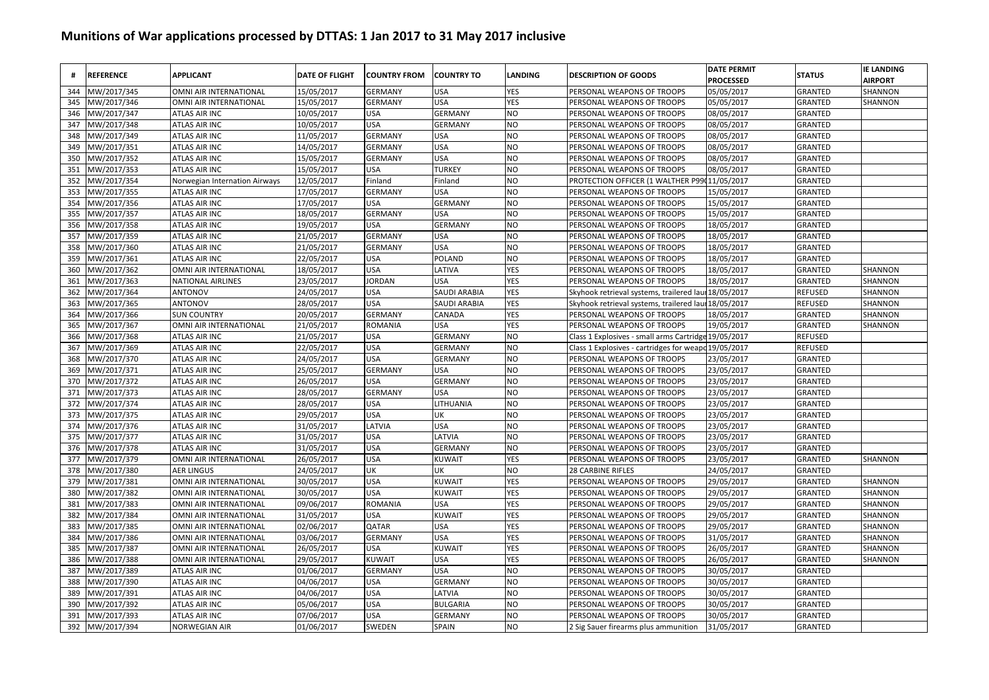| #   | <b>REFERENCE</b> | <b>APPLICANT</b>              | <b>DATE OF FLIGHT</b> | <b>COUNTRY FROM</b> | <b>COUNTRY TO</b> | LANDING    | <b>DESCRIPTION OF GOODS</b>              | <b>DATE PERMIT</b><br><b>PROCESSED</b> | <b>STATUS</b>  | <b>IE LANDING</b><br><b>AIRPORT</b> |
|-----|------------------|-------------------------------|-----------------------|---------------------|-------------------|------------|------------------------------------------|----------------------------------------|----------------|-------------------------------------|
| 344 | MW/2017/345      | OMNI AIR INTERNATIONAL        | 15/05/2017            | <b>GERMANY</b>      | <b>USA</b>        | YES        | PERSONAL WEAPONS OF TROOPS               | 05/05/2017                             | GRANTED        | SHANNON                             |
| 345 | MW/2017/346      | OMNI AIR INTERNATIONAL        | 15/05/2017            | <b>GERMANY</b>      | <b>USA</b>        | <b>YES</b> | PERSONAL WEAPONS OF TROOPS               | 05/05/2017                             | GRANTED        | SHANNON                             |
| 346 | MW/2017/347      | <b>ATLAS AIR INC</b>          | 10/05/2017            | <b>USA</b>          | GERMANY           | NO         | PERSONAL WEAPONS OF TROOPS               | 08/05/2017                             | GRANTED        |                                     |
| 347 | MW/2017/348      | ATLAS AIR INC                 | 10/05/2017            | <b>USA</b>          | <b>GERMANY</b>    | NO         | PERSONAL WEAPONS OF TROOPS               | 08/05/2017                             | GRANTED        |                                     |
| 348 | MW/2017/349      | ATLAS AIR INC                 | 11/05/2017            | <b>GERMANY</b>      | <b>USA</b>        | <b>NO</b>  | PERSONAL WEAPONS OF TROOPS               | 08/05/2017                             | GRANTED        |                                     |
| 349 | MW/2017/351      | ATLAS AIR INC                 | 14/05/2017            | <b>GERMANY</b>      | <b>USA</b>        | NO         | PERSONAL WEAPONS OF TROOPS               | 08/05/2017                             | GRANTED        |                                     |
| 350 | MW/2017/352      | <b>ATLAS AIR INC</b>          | 15/05/2017            | <b>GERMANY</b>      | <b>USA</b>        | <b>NO</b>  | PERSONAL WEAPONS OF TROOPS               | 08/05/2017                             | GRANTED        |                                     |
| 351 | MW/2017/353      | <b>ATLAS AIR INC</b>          | 15/05/2017            | <b>USA</b>          | <b>TURKEY</b>     | NO         | PERSONAL WEAPONS OF TROOPS               | 08/05/2017                             | GRANTED        |                                     |
| 352 | MW/2017/354      | Norwegian Internation Airways | 12/05/2017            | Finland             | Finland           | NO         | PROTECTION OFFICER (1 WALTHER P99        | 11/05/2017                             | GRANTED        |                                     |
| 353 | MW/2017/355      | ATLAS AIR INC                 | 17/05/2017            | <b>GERMANY</b>      | <b>USA</b>        | NO         | PERSONAL WEAPONS OF TROOPS               | 15/05/2017                             | <b>GRANTED</b> |                                     |
| 354 | MW/2017/356      | <b>ATLAS AIR INC</b>          | 17/05/2017            | <b>USA</b>          | <b>GERMANY</b>    | NO         | PERSONAL WEAPONS OF TROOPS               | 15/05/2017                             | <b>GRANTED</b> |                                     |
| 355 | MW/2017/357      | <b>ATLAS AIR INC</b>          | 18/05/2017            | <b>GERMANY</b>      | <b>USA</b>        | NO         | PERSONAL WEAPONS OF TROOPS               | 15/05/2017                             | <b>GRANTED</b> |                                     |
| 356 | MW/2017/358      | <b>ATLAS AIR INC</b>          | 19/05/2017            | <b>USA</b>          | <b>GERMANY</b>    | NO         | PERSONAL WEAPONS OF TROOPS               | 18/05/2017                             | GRANTED        |                                     |
| 357 | MW/2017/359      | <b>ATLAS AIR INC</b>          | 21/05/2017            | <b>GERMANY</b>      | <b>USA</b>        | NO         | PERSONAL WEAPONS OF TROOPS               | 18/05/2017                             | <b>GRANTED</b> |                                     |
| 358 | MW/2017/360      | <b>ATLAS AIR INC</b>          | 21/05/2017            | <b>GERMANY</b>      | <b>USA</b>        | NO         | PERSONAL WEAPONS OF TROOPS               | 18/05/2017                             | GRANTED        |                                     |
| 359 | MW/2017/361      | <b>ATLAS AIR INC</b>          | 22/05/2017            | <b>USA</b>          | POLAND            | NO         | PERSONAL WEAPONS OF TROOPS               | 18/05/2017                             | <b>GRANTED</b> |                                     |
| 360 | MW/2017/362      | OMNI AIR INTERNATIONAL        | 18/05/2017            | <b>USA</b>          | LATIVA            | <b>YES</b> | PERSONAL WEAPONS OF TROOPS               | 18/05/2017                             | GRANTED        | SHANNON                             |
| 361 | MW/2017/363      | <b>NATIONAL AIRLINES</b>      | 23/05/2017            | <b>JORDAN</b>       | <b>USA</b>        | YES        | PERSONAL WEAPONS OF TROOPS               | 18/05/2017                             | GRANTED        | SHANNON                             |
| 362 | MW/2017/364      | <b>ANTONOV</b>                | 24/05/2017            | <b>USA</b>          | SAUDI ARABIA      | YES        | Skyhook retrieval systems, trailered lau | 18/05/2017                             | <b>REFUSED</b> | SHANNON                             |
| 363 | MW/2017/365      | <b>ANTONOV</b>                | 28/05/2017            | <b>USA</b>          | SAUDI ARABIA      | YES        | Skyhook retrieval systems, trailered lau | 18/05/2017                             | <b>REFUSED</b> | SHANNON                             |
| 364 | MW/2017/366      | <b>SUN COUNTRY</b>            | 20/05/2017            | <b>GERMANY</b>      | CANADA            | YES        | PERSONAL WEAPONS OF TROOPS               | 18/05/2017                             | GRANTED        | SHANNON                             |
| 365 | MW/2017/367      | OMNI AIR INTERNATIONAL        | 21/05/2017            | <b>ROMANIA</b>      | <b>USA</b>        | <b>YES</b> | PERSONAL WEAPONS OF TROOPS               | 19/05/2017                             | <b>GRANTED</b> | SHANNON                             |
| 366 | MW/2017/368      | <b>ATLAS AIR INC</b>          | 21/05/2017            | <b>USA</b>          | <b>GERMANY</b>    | NO         | Class 1 Explosives - small arms Cartridg | 19/05/2017                             | <b>REFUSED</b> |                                     |
| 367 | MW/2017/369      | <b>ATLAS AIR INC</b>          | 22/05/2017            | <b>USA</b>          | <b>GERMANY</b>    | NO         | Class 1 Explosives - cartridges for weap | 19/05/2017                             | <b>REFUSED</b> |                                     |
| 368 | MW/2017/370      | <b>ATLAS AIR INC</b>          | 24/05/2017            | <b>USA</b>          | <b>GERMANY</b>    | NO         | PERSONAL WEAPONS OF TROOPS               | 23/05/2017                             | <b>GRANTED</b> |                                     |
| 369 | MW/2017/371      | <b>ATLAS AIR INC</b>          | 25/05/2017            | <b>GERMANY</b>      | <b>USA</b>        | NO         | PERSONAL WEAPONS OF TROOPS               | 23/05/2017                             | GRANTED        |                                     |
| 370 | MW/2017/372      | <b>ATLAS AIR INC</b>          | 26/05/2017            | <b>USA</b>          | <b>GERMANY</b>    | NO         | PERSONAL WEAPONS OF TROOPS               | 23/05/2017                             | <b>GRANTED</b> |                                     |
| 371 | MW/2017/373      | <b>ATLAS AIR INC</b>          | 28/05/2017            | <b>GERMANY</b>      | <b>USA</b>        | NO         | PERSONAL WEAPONS OF TROOPS               | 23/05/2017                             | GRANTED        |                                     |
| 372 | MW/2017/374      | <b>ATLAS AIR INC</b>          | 28/05/2017            | <b>USA</b>          | LITHUANIA         | NO         | PERSONAL WEAPONS OF TROOPS               | 23/05/2017                             | <b>GRANTED</b> |                                     |
| 373 | MW/2017/375      | ATLAS AIR INC                 | 29/05/2017            | <b>USA</b>          | UK                | NO         | PERSONAL WEAPONS OF TROOPS               | 23/05/2017                             | GRANTED        |                                     |
| 374 | MW/2017/376      | <b>ATLAS AIR INC</b>          | 31/05/2017            | LATVIA              | <b>USA</b>        | NO         | PERSONAL WEAPONS OF TROOPS               | 23/05/2017                             | GRANTED        |                                     |
| 375 | MW/2017/377      | ATLAS AIR INC                 | 31/05/2017            | <b>USA</b>          | LATVIA            | NO         | PERSONAL WEAPONS OF TROOPS               | 23/05/2017                             | GRANTED        |                                     |
| 376 | MW/2017/378      | <b>ATLAS AIR INC</b>          | 31/05/2017            | <b>USA</b>          | <b>GERMANY</b>    | NO         | PERSONAL WEAPONS OF TROOPS               | 23/05/2017                             | GRANTED        |                                     |
| 377 | MW/2017/379      | OMNI AIR INTERNATIONAL        | 26/05/2017            | <b>USA</b>          | KUWAIT            | YES        | PERSONAL WEAPONS OF TROOPS               | 23/05/2017                             | GRANTED        | SHANNON                             |
| 378 | MW/2017/380      | <b>AER LINGUS</b>             | 24/05/2017            | UK                  | UK                | NO         | 28 CARBINE RIFLES                        | 24/05/2017                             | <b>GRANTED</b> |                                     |
| 379 | MW/2017/381      | OMNI AIR INTERNATIONAL        | 30/05/2017            | <b>USA</b>          | KUWAIT            | YES        | PERSONAL WEAPONS OF TROOPS               | 29/05/2017                             | <b>GRANTED</b> | SHANNON                             |
| 380 | MW/2017/382      | OMNI AIR INTERNATIONAL        | 30/05/2017            | <b>USA</b>          | <b>KUWAIT</b>     | YES        | PERSONAL WEAPONS OF TROOPS               | 29/05/2017                             | GRANTED        | SHANNON                             |
| 381 | MW/2017/383      | OMNI AIR INTERNATIONAL        | 09/06/2017            | <b>ROMANIA</b>      | <b>USA</b>        | YES        | PERSONAL WEAPONS OF TROOPS               | 29/05/2017                             | <b>GRANTED</b> | SHANNON                             |
| 382 | MW/2017/384      | OMNI AIR INTERNATIONAL        | 31/05/2017            | <b>USA</b>          | <b>KUWAIT</b>     | YES        | PERSONAL WEAPONS OF TROOPS               | 29/05/2017                             | <b>GRANTED</b> | SHANNON                             |
| 383 | MW/2017/385      | OMNI AIR INTERNATIONAL        | 02/06/2017            | QATAR               | <b>USA</b>        | YES        | PERSONAL WEAPONS OF TROOPS               | 29/05/2017                             | <b>GRANTED</b> | SHANNON                             |
| 384 | MW/2017/386      | OMNI AIR INTERNATIONAL        | 03/06/2017            | <b>GERMANY</b>      | <b>USA</b>        | YES        | PERSONAL WEAPONS OF TROOPS               | 31/05/2017                             | GRANTED        | SHANNON                             |
| 385 | MW/2017/387      | OMNI AIR INTERNATIONAL        | 26/05/2017            | <b>USA</b>          | <b>KUWAIT</b>     | <b>YES</b> | PERSONAL WEAPONS OF TROOPS               | 26/05/2017                             | <b>GRANTED</b> | SHANNON                             |
| 386 | MW/2017/388      | OMNI AIR INTERNATIONAL        | 29/05/2017            | <b>KUWAIT</b>       | <b>USA</b>        | YES        | PERSONAL WEAPONS OF TROOPS               | 26/05/2017                             | <b>GRANTED</b> | SHANNON                             |
| 387 | MW/2017/389      | ATLAS AIR INC                 | 01/06/2017            | <b>GERMANY</b>      | <b>USA</b>        | NO         | PERSONAL WEAPONS OF TROOPS               | 30/05/2017                             | GRANTED        |                                     |
| 388 | MW/2017/390      | ATLAS AIR INC                 | 04/06/2017            | <b>USA</b>          | <b>GERMANY</b>    | NO         | PERSONAL WEAPONS OF TROOPS               | 30/05/2017                             | GRANTED        |                                     |
| 389 | MW/2017/391      | <b>ATLAS AIR INC</b>          | 04/06/2017            | <b>USA</b>          | LATVIA            | NO         | PERSONAL WEAPONS OF TROOPS               | 30/05/2017                             | GRANTED        |                                     |
| 390 | MW/2017/392      | <b>ATLAS AIR INC</b>          | 05/06/2017            | <b>USA</b>          | <b>BULGARIA</b>   | NO         | PERSONAL WEAPONS OF TROOPS               | 30/05/2017                             | GRANTED        |                                     |
| 391 | MW/2017/393      | <b>ATLAS AIR INC</b>          | 07/06/2017            | <b>USA</b>          | <b>GERMANY</b>    | NO         | PERSONAL WEAPONS OF TROOPS               | 30/05/2017                             | <b>GRANTED</b> |                                     |
| 392 | MW/2017/394      | <b>NORWEGIAN AIR</b>          | 01/06/2017            | SWEDEN              | SPAIN             | NO         | 2 Sig Sauer firearms plus ammunition     | 31/05/2017                             | GRANTED        |                                     |